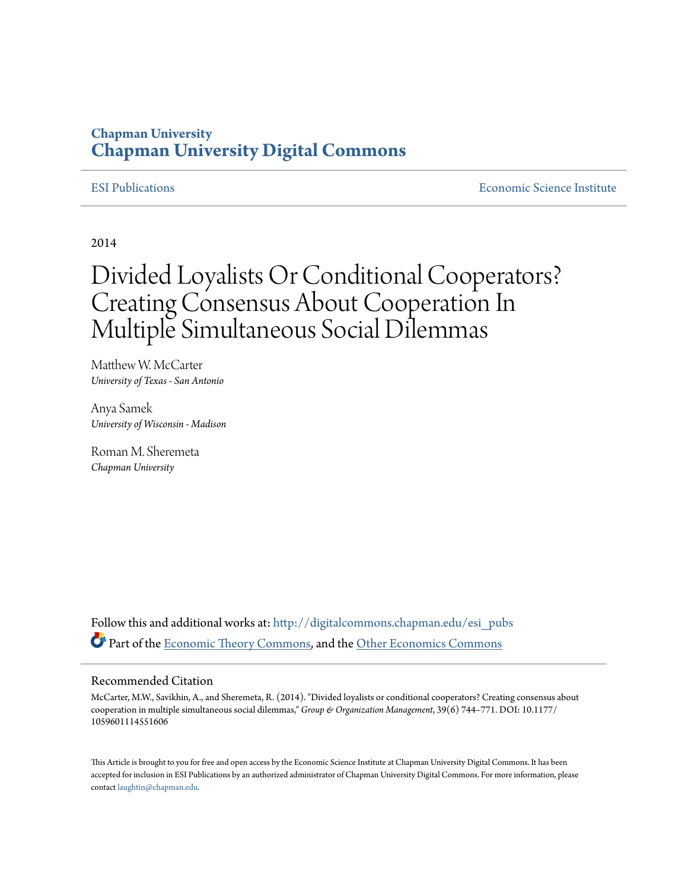## **Chapman University [Chapman University Digital Commons](http://digitalcommons.chapman.edu?utm_source=digitalcommons.chapman.edu%2Fesi_pubs%2F69&utm_medium=PDF&utm_campaign=PDFCoverPages)**

[ESI Publications](http://digitalcommons.chapman.edu/esi_pubs?utm_source=digitalcommons.chapman.edu%2Fesi_pubs%2F69&utm_medium=PDF&utm_campaign=PDFCoverPages) [Economic Science Institute](http://digitalcommons.chapman.edu/esi?utm_source=digitalcommons.chapman.edu%2Fesi_pubs%2F69&utm_medium=PDF&utm_campaign=PDFCoverPages)

2014

# Divided Loyalists Or Conditional Cooperators? Creating Consensus About Cooperation In Multiple Simultaneous Social Dilemmas

Matthew W. McCarter *University of Texas - San Antonio*

Anya Samek *University of Wisconsin - Madison*

Roman M. Sheremeta *Chapman University*

Follow this and additional works at: [http://digitalcommons.chapman.edu/esi\\_pubs](http://digitalcommons.chapman.edu/esi_pubs?utm_source=digitalcommons.chapman.edu%2Fesi_pubs%2F69&utm_medium=PDF&utm_campaign=PDFCoverPages) Part of the [Economic Theory Commons,](http://network.bepress.com/hgg/discipline/344?utm_source=digitalcommons.chapman.edu%2Fesi_pubs%2F69&utm_medium=PDF&utm_campaign=PDFCoverPages) and the [Other Economics Commons](http://network.bepress.com/hgg/discipline/353?utm_source=digitalcommons.chapman.edu%2Fesi_pubs%2F69&utm_medium=PDF&utm_campaign=PDFCoverPages)

#### Recommended Citation

McCarter, M.W., Savikhin, A., and Sheremeta, R. (2014). "Divided loyalists or conditional cooperators? Creating consensus about cooperation in multiple simultaneous social dilemmas," *Group & Organization Management*, 39(6) 744–771. DOI: 10.1177/ 1059601114551606

This Article is brought to you for free and open access by the Economic Science Institute at Chapman University Digital Commons. It has been accepted for inclusion in ESI Publications by an authorized administrator of Chapman University Digital Commons. For more information, please contact [laughtin@chapman.edu](mailto:laughtin@chapman.edu).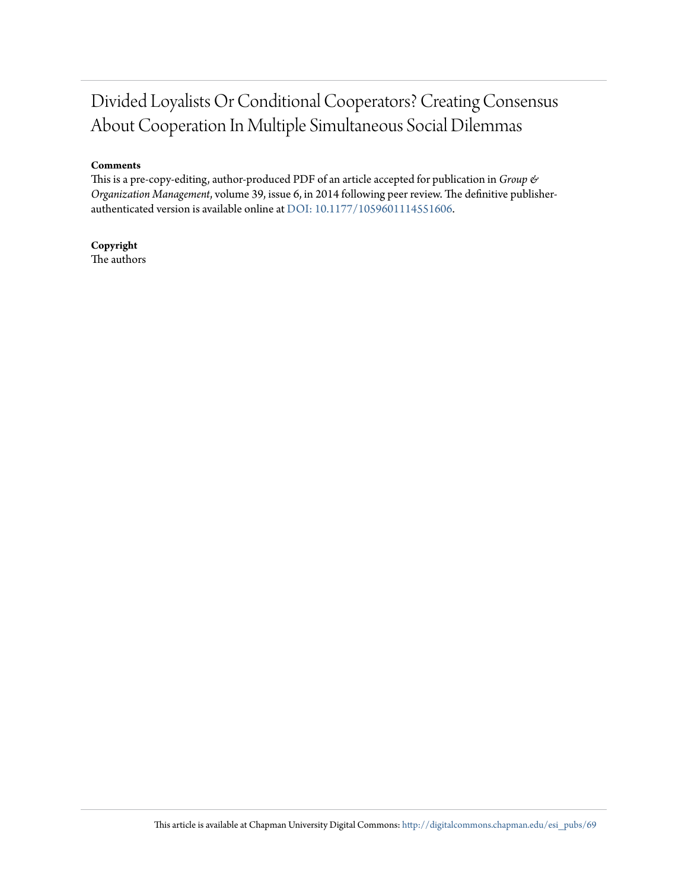# Divided Loyalists Or Conditional Cooperators? Creating Consensus About Cooperation In Multiple Simultaneous Social Dilemmas

#### **Comments**

This is a pre-copy-editing, author-produced PDF of an article accepted for publication in *Group & Organization Management*, volume 39, issue 6, in 2014 following peer review. The definitive publisherauthenticated version is available online at [DOI: 10.1177/1059601114551606.](http://dx.doi.org/10.1177/1059601114551606)

**Copyright** The authors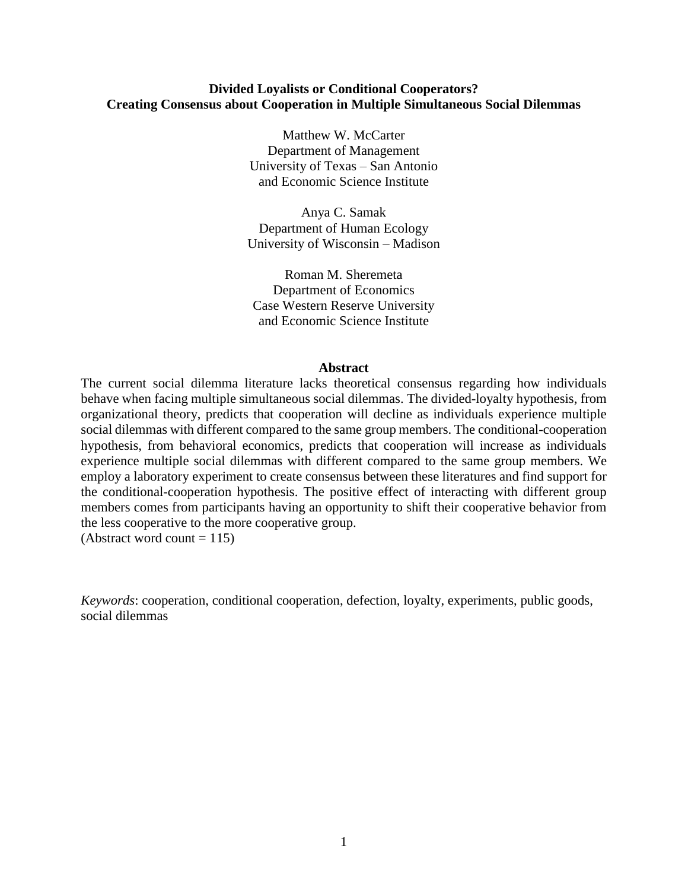#### **Divided Loyalists or Conditional Cooperators? Creating Consensus about Cooperation in Multiple Simultaneous Social Dilemmas**

Matthew W. McCarter Department of Management University of Texas – San Antonio and Economic Science Institute

Anya C. Samak Department of Human Ecology University of Wisconsin – Madison

Roman M. Sheremeta Department of Economics Case Western Reserve University and Economic Science Institute

#### **Abstract**

The current social dilemma literature lacks theoretical consensus regarding how individuals behave when facing multiple simultaneous social dilemmas. The divided-loyalty hypothesis, from organizational theory, predicts that cooperation will decline as individuals experience multiple social dilemmas with different compared to the same group members. The conditional-cooperation hypothesis, from behavioral economics, predicts that cooperation will increase as individuals experience multiple social dilemmas with different compared to the same group members. We employ a laboratory experiment to create consensus between these literatures and find support for the conditional-cooperation hypothesis. The positive effect of interacting with different group members comes from participants having an opportunity to shift their cooperative behavior from the less cooperative to the more cooperative group.

(Abstract word count  $= 115$ )

*Keywords*: cooperation, conditional cooperation, defection, loyalty, experiments, public goods, social dilemmas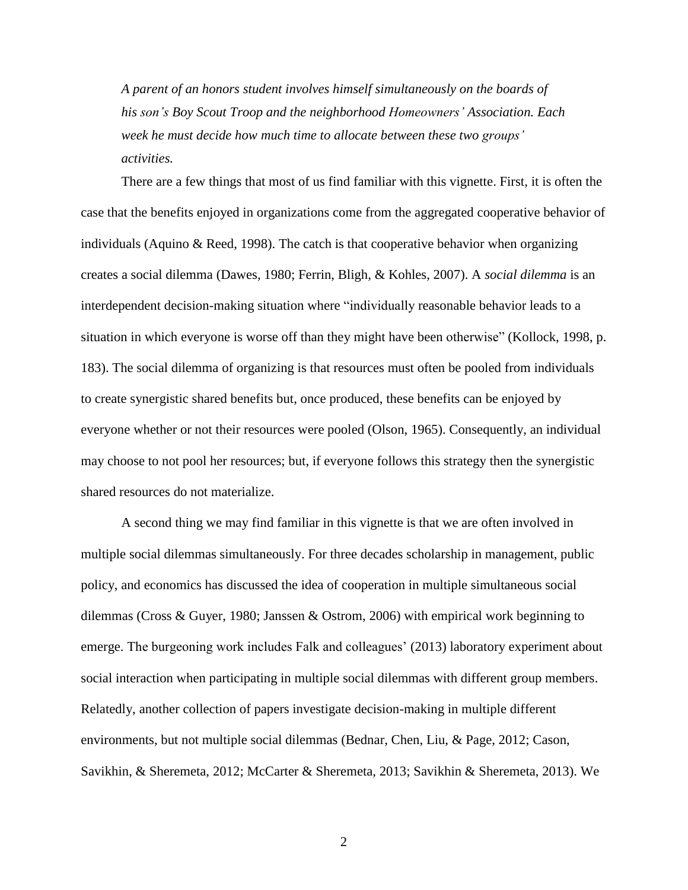*A parent of an honors student involves himself simultaneously on the boards of his son's Boy Scout Troop and the neighborhood Homeowners' Association. Each week he must decide how much time to allocate between these two groups' activities.*

There are a few things that most of us find familiar with this vignette. First, it is often the case that the benefits enjoyed in organizations come from the aggregated cooperative behavior of individuals (Aquino  $\&$  Reed, 1998). The catch is that cooperative behavior when organizing creates a social dilemma [\(Dawes, 1980;](#page-24-1) [Ferrin, Bligh, & Kohles, 2007\)](#page-25-0). A *social dilemma* is an interdependent decision-making situation where "individually reasonable behavior leads to a situation in which everyone is worse off than they might have been otherwise" [\(Kollock, 1998, p.](#page-26-0)  [183\)](#page-26-0). The social dilemma of organizing is that resources must often be pooled from individuals to create synergistic shared benefits but, once produced, these benefits can be enjoyed by everyone whether or not their resources were pooled [\(Olson, 1965\)](#page-27-0). Consequently, an individual may choose to not pool her resources; but, if everyone follows this strategy then the synergistic shared resources do not materialize.

A second thing we may find familiar in this vignette is that we are often involved in multiple social dilemmas simultaneously. For three decades scholarship in management, public policy, and economics has discussed the idea of cooperation in multiple simultaneous social dilemmas [\(Cross & Guyer, 1980;](#page-24-2) [Janssen & Ostrom, 2006\)](#page-26-1) with empirical work beginning to emerge. The burgeoning work includes Falk and colleagues' [\(2013\)](#page-24-3) laboratory experiment about social interaction when participating in multiple social dilemmas with different group members. Relatedly, another collection of papers investigate decision-making in multiple different environments, but not multiple social dilemmas [\(Bednar, Chen, Liu, & Page, 2012;](#page-24-4) [Cason,](#page-24-5)  [Savikhin, & Sheremeta, 2012;](#page-24-5) [McCarter & Sheremeta, 2013;](#page-26-2) [Savikhin & Sheremeta, 2013\)](#page-27-1). We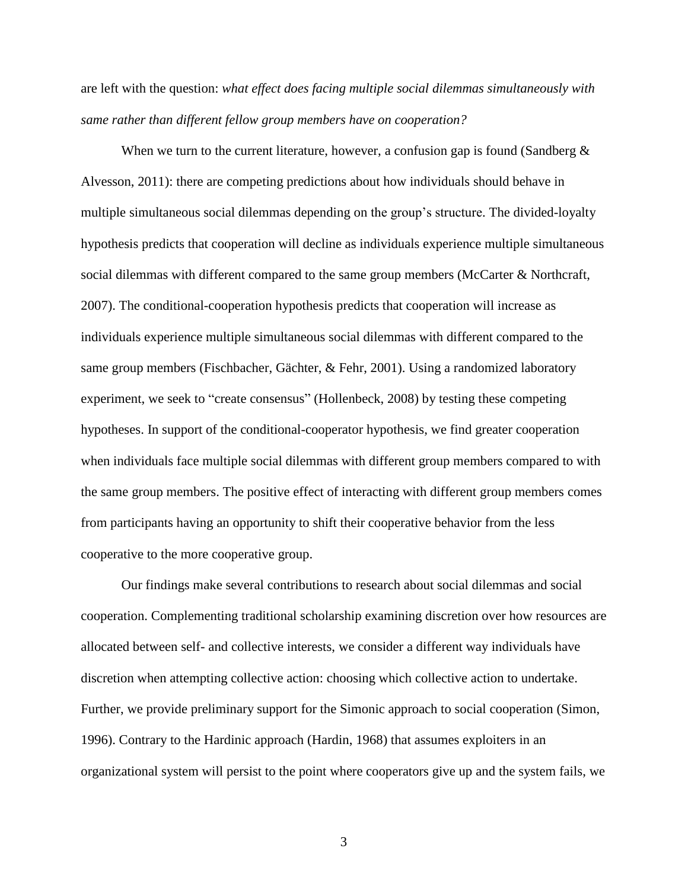are left with the question: *what effect does facing multiple social dilemmas simultaneously with same rather than different fellow group members have on cooperation?*

When we turn to the current literature, however, a confusion gap is found (Sandberg  $\&$ [Alvesson, 2011\)](#page-27-2): there are competing predictions about how individuals should behave in multiple simultaneous social dilemmas depending on the group's structure. The divided-loyalty hypothesis predicts that cooperation will decline as individuals experience multiple simultaneous social dilemmas with different compared to the same group members [\(McCarter & Northcraft,](#page-26-3)  [2007\)](#page-26-3). The conditional-cooperation hypothesis predicts that cooperation will increase as individuals experience multiple simultaneous social dilemmas with different compared to the same group members [\(Fischbacher, Gächter, & Fehr, 2001\)](#page-25-1). Using a randomized laboratory experiment, we seek to "create consensus" [\(Hollenbeck, 2008\)](#page-25-2) by testing these competing hypotheses. In support of the conditional-cooperator hypothesis, we find greater cooperation when individuals face multiple social dilemmas with different group members compared to with the same group members. The positive effect of interacting with different group members comes from participants having an opportunity to shift their cooperative behavior from the less cooperative to the more cooperative group.

Our findings make several contributions to research about social dilemmas and social cooperation. Complementing traditional scholarship examining discretion over how resources are allocated between self- and collective interests, we consider a different way individuals have discretion when attempting collective action: choosing which collective action to undertake. Further, we provide preliminary support for the Simonic approach to social cooperation [\(Simon,](#page-27-3)  [1996\)](#page-27-3). Contrary to the Hardinic approach [\(Hardin, 1968\)](#page-25-3) that assumes exploiters in an organizational system will persist to the point where cooperators give up and the system fails, we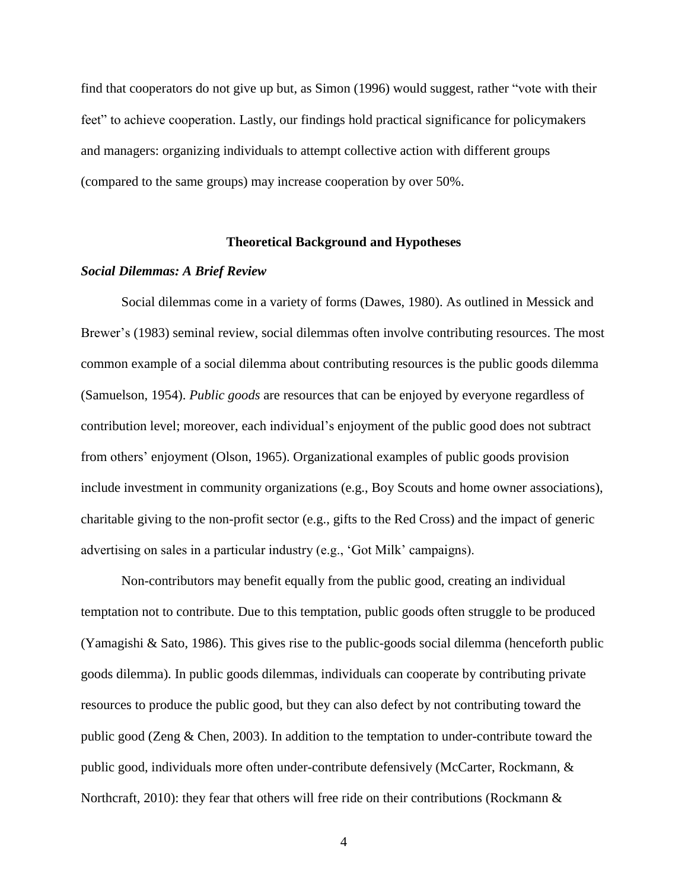find that cooperators do not give up but, as Simon (1996) would suggest, rather "vote with their feet" to achieve cooperation. Lastly, our findings hold practical significance for policymakers and managers: organizing individuals to attempt collective action with different groups (compared to the same groups) may increase cooperation by over 50%.

#### **Theoretical Background and Hypotheses**

#### *Social Dilemmas: A Brief Review*

Social dilemmas come in a variety of forms (Dawes, 1980). As outlined in Messick and Brewer's [\(1983\)](#page-26-4) seminal review, social dilemmas often involve contributing resources. The most common example of a social dilemma about contributing resources is the public goods dilemma [\(Samuelson, 1954\)](#page-27-4). *Public goods* are resources that can be enjoyed by everyone regardless of contribution level; moreover, each individual's enjoyment of the public good does not subtract from others' enjoyment [\(Olson, 1965\)](#page-27-0). Organizational examples of public goods provision include investment in community organizations (e.g., Boy Scouts and home owner associations), charitable giving to the non-profit sector (e.g., gifts to the Red Cross) and the impact of generic advertising on sales in a particular industry (e.g., 'Got Milk' campaigns).

Non-contributors may benefit equally from the public good, creating an individual temptation not to contribute. Due to this temptation, public goods often struggle to be produced [\(Yamagishi & Sato, 1986\)](#page-27-5). This gives rise to the public-goods social dilemma (henceforth public goods dilemma). In public goods dilemmas, individuals can cooperate by contributing private resources to produce the public good, but they can also defect by not contributing toward the public good [\(Zeng & Chen, 2003\)](#page-28-0). In addition to the temptation to under-contribute toward the public good, individuals more often under-contribute defensively [\(McCarter, Rockmann, &](#page-26-5)  [Northcraft, 2010\)](#page-26-5): they fear that others will free ride on their contributions (Rockmann  $\&$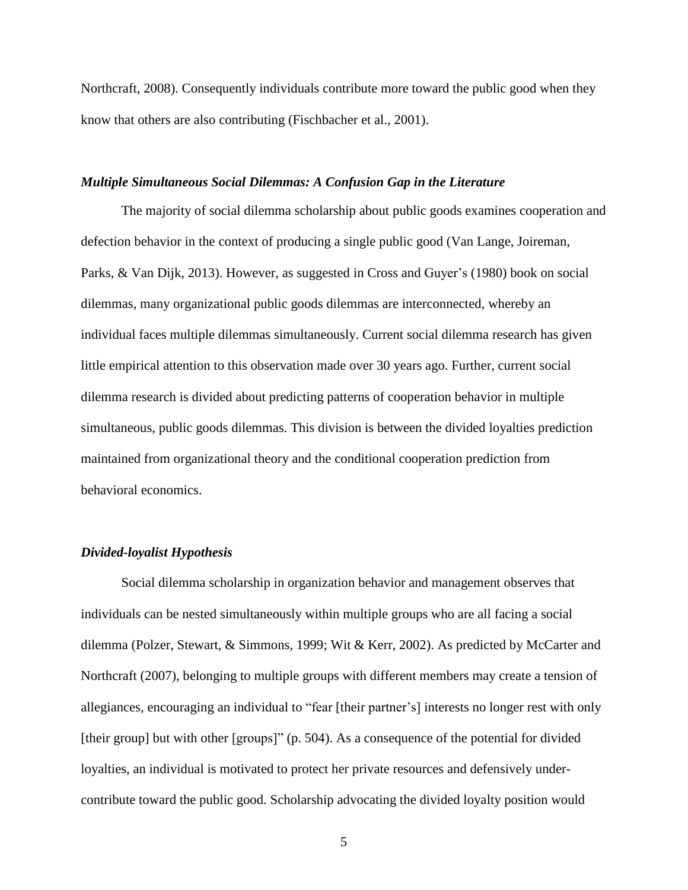[Northcraft, 2008\)](#page-27-6). Consequently individuals contribute more toward the public good when they know that others are also contributing [\(Fischbacher et al., 2001\)](#page-25-1).

#### *Multiple Simultaneous Social Dilemmas: A Confusion Gap in the Literature*

The majority of social dilemma scholarship about public goods examines cooperation and defection behavior in the context of producing a single public good [\(Van Lange, Joireman,](#page-27-7)  [Parks, & Van Dijk, 2013\)](#page-27-7). However, as suggested in Cross and Guyer's (1980) book on social dilemmas, many organizational public goods dilemmas are interconnected, whereby an individual faces multiple dilemmas simultaneously. Current social dilemma research has given little empirical attention to this observation made over 30 years ago. Further, current social dilemma research is divided about predicting patterns of cooperation behavior in multiple simultaneous, public goods dilemmas. This division is between the divided loyalties prediction maintained from organizational theory and the conditional cooperation prediction from behavioral economics.

#### *Divided-loyalist Hypothesis*

Social dilemma scholarship in organization behavior and management observes that individuals can be nested simultaneously within multiple groups who are all facing a social dilemma [\(Polzer, Stewart, & Simmons, 1999;](#page-27-8) [Wit & Kerr, 2002\)](#page-27-9). As predicted by McCarter and Northcraft (2007), belonging to multiple groups with different members may create a tension of allegiances, encouraging an individual to "fear [their partner's] interests no longer rest with only [their group] but with other [groups]" (p. 504). As a consequence of the potential for divided loyalties, an individual is motivated to protect her private resources and defensively undercontribute toward the public good. Scholarship advocating the divided loyalty position would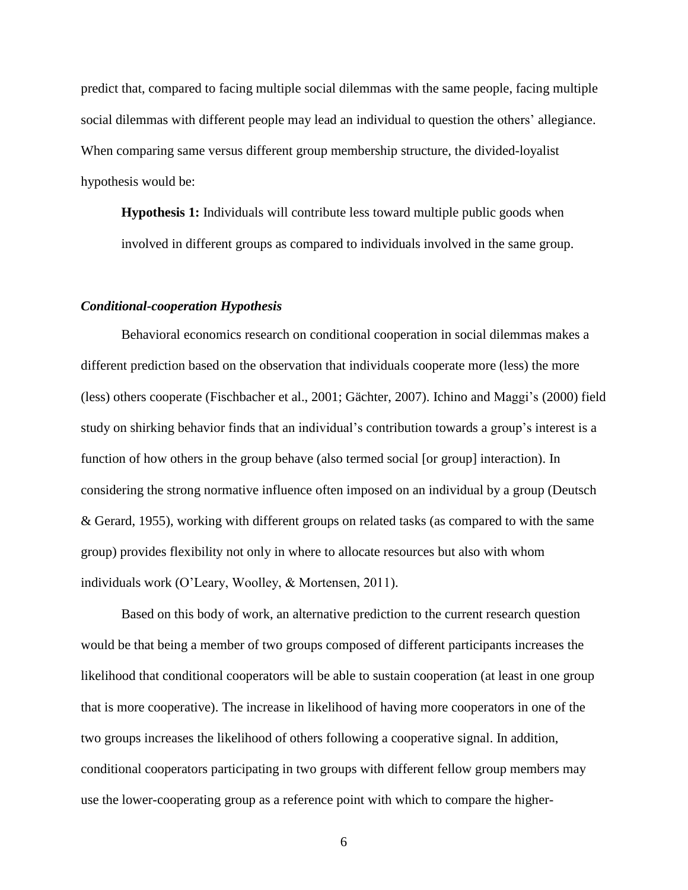predict that, compared to facing multiple social dilemmas with the same people, facing multiple social dilemmas with different people may lead an individual to question the others' allegiance. When comparing same versus different group membership structure, the divided-loyalist hypothesis would be:

**Hypothesis 1:** Individuals will contribute less toward multiple public goods when involved in different groups as compared to individuals involved in the same group.

#### *Conditional-cooperation Hypothesis*

Behavioral economics research on conditional cooperation in social dilemmas makes a different prediction based on the observation that individuals cooperate more (less) the more (less) others cooperate [\(Fischbacher et al., 2001;](#page-25-1) [Gächter, 2007\)](#page-25-4). Ichino and Maggi's [\(2000\)](#page-25-5) field study on shirking behavior finds that an individual's contribution towards a group's interest is a function of how others in the group behave (also termed social [or group] interaction). In considering the strong normative influence often imposed on an individual by a group [\(Deutsch](#page-24-6)  [& Gerard, 1955\)](#page-24-6), working with different groups on related tasks (as compared to with the same group) provides flexibility not only in where to allocate resources but also with whom individuals work [\(O'Leary, Woolley, & Mortensen, 2011\)](#page-26-6).

Based on this body of work, an alternative prediction to the current research question would be that being a member of two groups composed of different participants increases the likelihood that conditional cooperators will be able to sustain cooperation (at least in one group that is more cooperative). The increase in likelihood of having more cooperators in one of the two groups increases the likelihood of others following a cooperative signal. In addition, conditional cooperators participating in two groups with different fellow group members may use the lower-cooperating group as a reference point with which to compare the higher-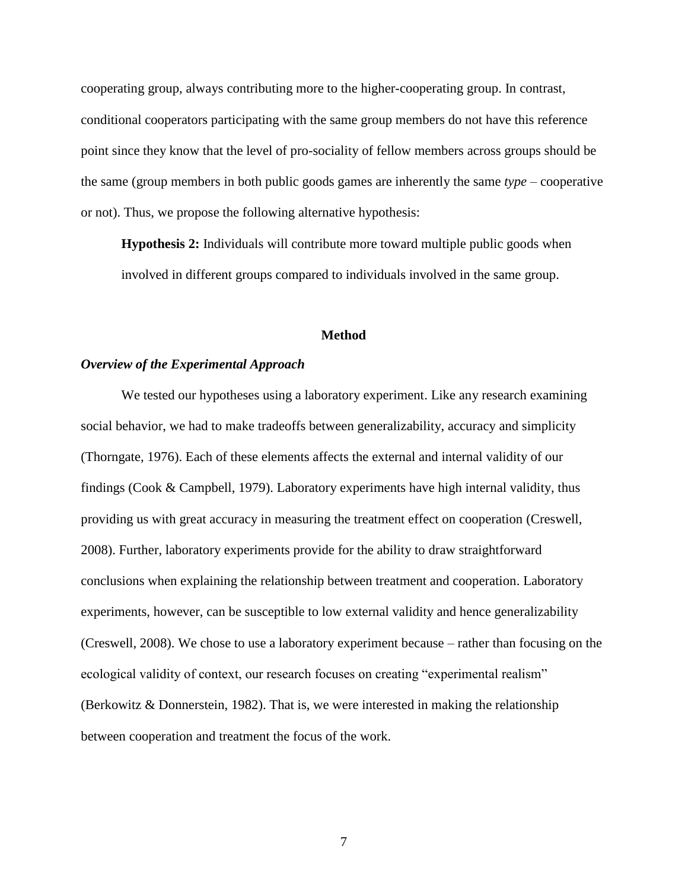cooperating group, always contributing more to the higher-cooperating group. In contrast, conditional cooperators participating with the same group members do not have this reference point since they know that the level of pro-sociality of fellow members across groups should be the same (group members in both public goods games are inherently the same *type* – cooperative or not). Thus, we propose the following alternative hypothesis:

**Hypothesis 2:** Individuals will contribute more toward multiple public goods when involved in different groups compared to individuals involved in the same group.

#### **Method**

#### *Overview of the Experimental Approach*

We tested our hypotheses using a laboratory experiment. Like any research examining social behavior, we had to make tradeoffs between generalizability, accuracy and simplicity [\(Thorngate, 1976\)](#page-27-10). Each of these elements affects the external and internal validity of our findings [\(Cook & Campbell, 1979\)](#page-24-7). Laboratory experiments have high internal validity, thus providing us with great accuracy in measuring the treatment effect on cooperation [\(Creswell,](#page-24-8)  [2008\)](#page-24-8). Further, laboratory experiments provide for the ability to draw straightforward conclusions when explaining the relationship between treatment and cooperation. Laboratory experiments, however, can be susceptible to low external validity and hence generalizability (Creswell, 2008). We chose to use a laboratory experiment because – rather than focusing on the ecological validity of context, our research focuses on creating "experimental realism" [\(Berkowitz & Donnerstein, 1982\)](#page-24-9). That is, we were interested in making the relationship between cooperation and treatment the focus of the work.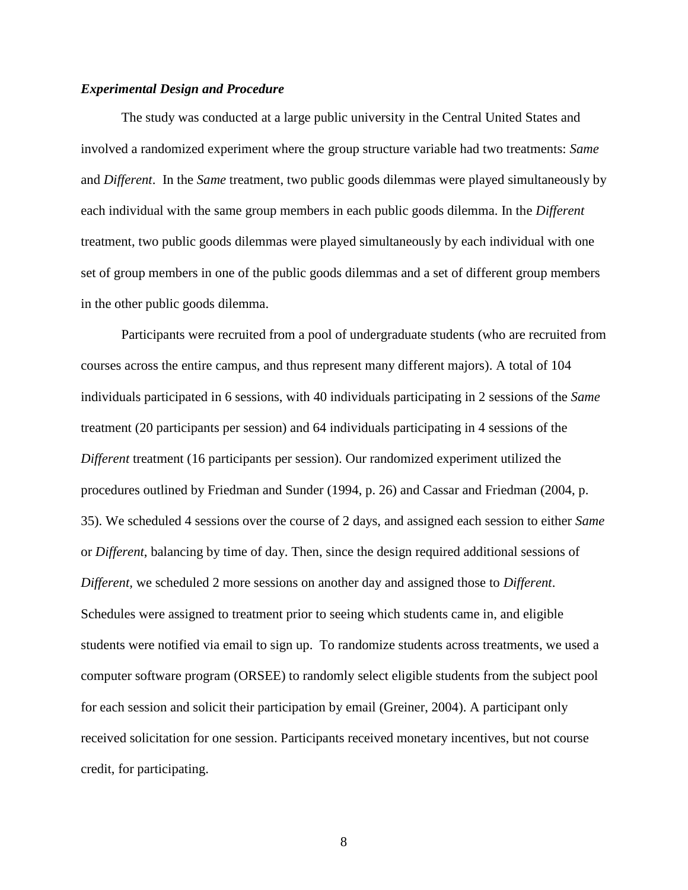#### *Experimental Design and Procedure*

The study was conducted at a large public university in the Central United States and involved a randomized experiment where the group structure variable had two treatments: *Same* and *Different*. In the *Same* treatment, two public goods dilemmas were played simultaneously by each individual with the same group members in each public goods dilemma. In the *Different* treatment, two public goods dilemmas were played simultaneously by each individual with one set of group members in one of the public goods dilemmas and a set of different group members in the other public goods dilemma.

Participants were recruited from a pool of undergraduate students (who are recruited from courses across the entire campus, and thus represent many different majors). A total of 104 individuals participated in 6 sessions, with 40 individuals participating in 2 sessions of the *Same* treatment (20 participants per session) and 64 individuals participating in 4 sessions of the *Different* treatment (16 participants per session). Our randomized experiment utilized the procedures outlined by Friedman and Sunder [\(1994, p. 26\)](#page-25-6) and Cassar and Friedman [\(2004, p.](#page-24-10)  [35\)](#page-24-10). We scheduled 4 sessions over the course of 2 days, and assigned each session to either *Same* or *Different*, balancing by time of day. Then, since the design required additional sessions of *Different,* we scheduled 2 more sessions on another day and assigned those to *Different*. Schedules were assigned to treatment prior to seeing which students came in, and eligible students were notified via email to sign up. To randomize students across treatments, we used a computer software program (ORSEE) to randomly select eligible students from the subject pool for each session and solicit their participation by email [\(Greiner, 2004\)](#page-25-7). A participant only received solicitation for one session. Participants received monetary incentives, but not course credit, for participating.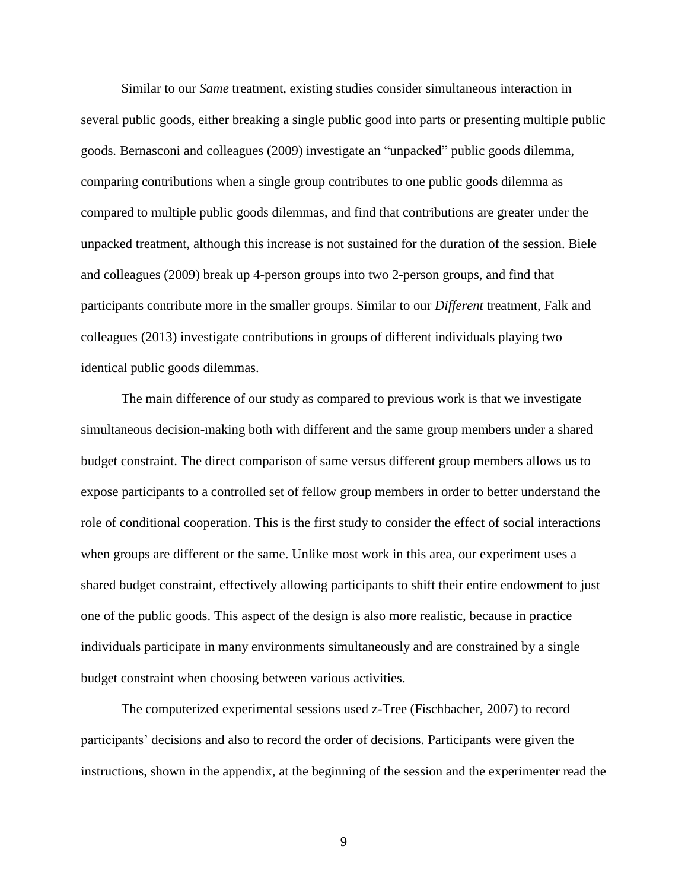Similar to our *Same* treatment, existing studies consider simultaneous interaction in several public goods, either breaking a single public good into parts or presenting multiple public goods. Bernasconi and colleagues [\(2009\)](#page-24-11) investigate an "unpacked" public goods dilemma, comparing contributions when a single group contributes to one public goods dilemma as compared to multiple public goods dilemmas, and find that contributions are greater under the unpacked treatment, although this increase is not sustained for the duration of the session. Biele and colleagues [\(2009\)](#page-24-12) break up 4-person groups into two 2-person groups, and find that participants contribute more in the smaller groups. Similar to our *Different* treatment, Falk and colleagues (2013) investigate contributions in groups of different individuals playing two identical public goods dilemmas.

The main difference of our study as compared to previous work is that we investigate simultaneous decision-making both with different and the same group members under a shared budget constraint. The direct comparison of same versus different group members allows us to expose participants to a controlled set of fellow group members in order to better understand the role of conditional cooperation. This is the first study to consider the effect of social interactions when groups are different or the same. Unlike most work in this area, our experiment uses a shared budget constraint, effectively allowing participants to shift their entire endowment to just one of the public goods. This aspect of the design is also more realistic, because in practice individuals participate in many environments simultaneously and are constrained by a single budget constraint when choosing between various activities.

The computerized experimental sessions used z-Tree [\(Fischbacher, 2007\)](#page-25-8) to record participants' decisions and also to record the order of decisions. Participants were given the instructions, shown in the appendix, at the beginning of the session and the experimenter read the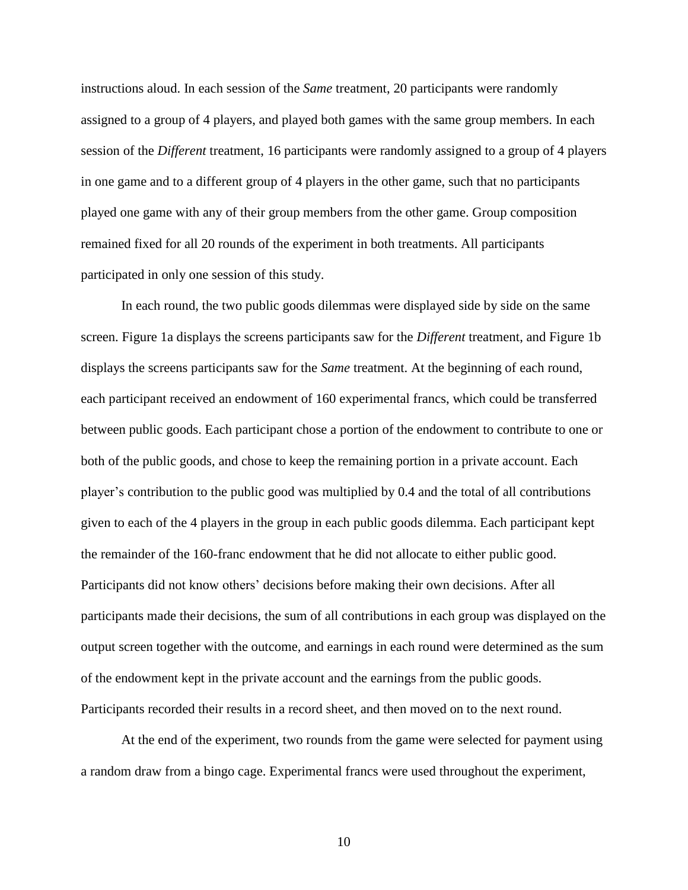instructions aloud. In each session of the *Same* treatment, 20 participants were randomly assigned to a group of 4 players, and played both games with the same group members. In each session of the *Different* treatment, 16 participants were randomly assigned to a group of 4 players in one game and to a different group of 4 players in the other game, such that no participants played one game with any of their group members from the other game. Group composition remained fixed for all 20 rounds of the experiment in both treatments. All participants participated in only one session of this study.

In each round, the two public goods dilemmas were displayed side by side on the same screen. Figure 1a displays the screens participants saw for the *Different* treatment, and Figure 1b displays the screens participants saw for the *Same* treatment. At the beginning of each round, each participant received an endowment of 160 experimental francs, which could be transferred between public goods. Each participant chose a portion of the endowment to contribute to one or both of the public goods, and chose to keep the remaining portion in a private account. Each player's contribution to the public good was multiplied by 0.4 and the total of all contributions given to each of the 4 players in the group in each public goods dilemma. Each participant kept the remainder of the 160-franc endowment that he did not allocate to either public good. Participants did not know others' decisions before making their own decisions. After all participants made their decisions, the sum of all contributions in each group was displayed on the output screen together with the outcome, and earnings in each round were determined as the sum of the endowment kept in the private account and the earnings from the public goods. Participants recorded their results in a record sheet, and then moved on to the next round.

At the end of the experiment, two rounds from the game were selected for payment using a random draw from a bingo cage. Experimental francs were used throughout the experiment,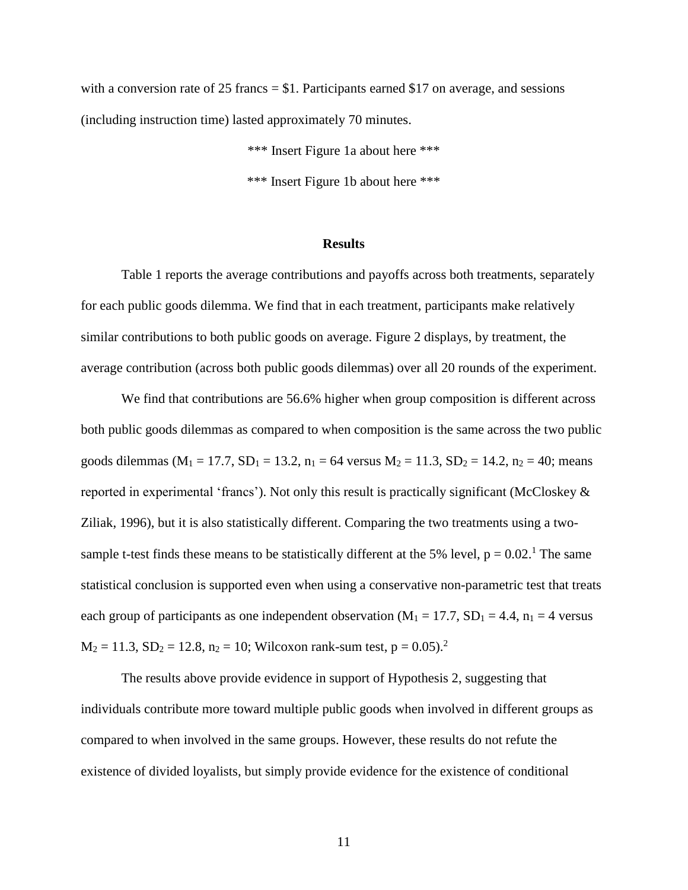with a conversion rate of 25 francs  $= $1$ . Participants earned \$17 on average, and sessions (including instruction time) lasted approximately 70 minutes.

> \*\*\* Insert Figure 1a about here \*\*\* \*\*\* Insert Figure 1b about here \*\*\*

#### **Results**

Table 1 reports the average contributions and payoffs across both treatments, separately for each public goods dilemma. We find that in each treatment, participants make relatively similar contributions to both public goods on average. Figure 2 displays, by treatment, the average contribution (across both public goods dilemmas) over all 20 rounds of the experiment.

We find that contributions are 56.6% higher when group composition is different across both public goods dilemmas as compared to when composition is the same across the two public goods dilemmas ( $M_1 = 17.7$ ,  $SD_1 = 13.2$ ,  $n_1 = 64$  versus  $M_2 = 11.3$ ,  $SD_2 = 14.2$ ,  $n_2 = 40$ ; means reported in experimental 'francs'). Not only this result is practically significant (McCloskey  $\&$ [Ziliak, 1996\)](#page-26-7), but it is also statistically different. Comparing the two treatments using a twosample t-test finds these means to be statistically different at the 5% level,  $p = 0.02$ .<sup>1</sup> The same statistical conclusion is supported even when using a conservative non-parametric test that treats each group of participants as one independent observation ( $M_1 = 17.7$ ,  $SD_1 = 4.4$ ,  $n_1 = 4$  versus  $M_2 = 11.3$ ,  $SD_2 = 12.8$ ,  $n_2 = 10$ ; Wilcoxon rank-sum test,  $p = 0.05$ ).<sup>2</sup>

The results above provide evidence in support of Hypothesis 2, suggesting that individuals contribute more toward multiple public goods when involved in different groups as compared to when involved in the same groups. However, these results do not refute the existence of divided loyalists, but simply provide evidence for the existence of conditional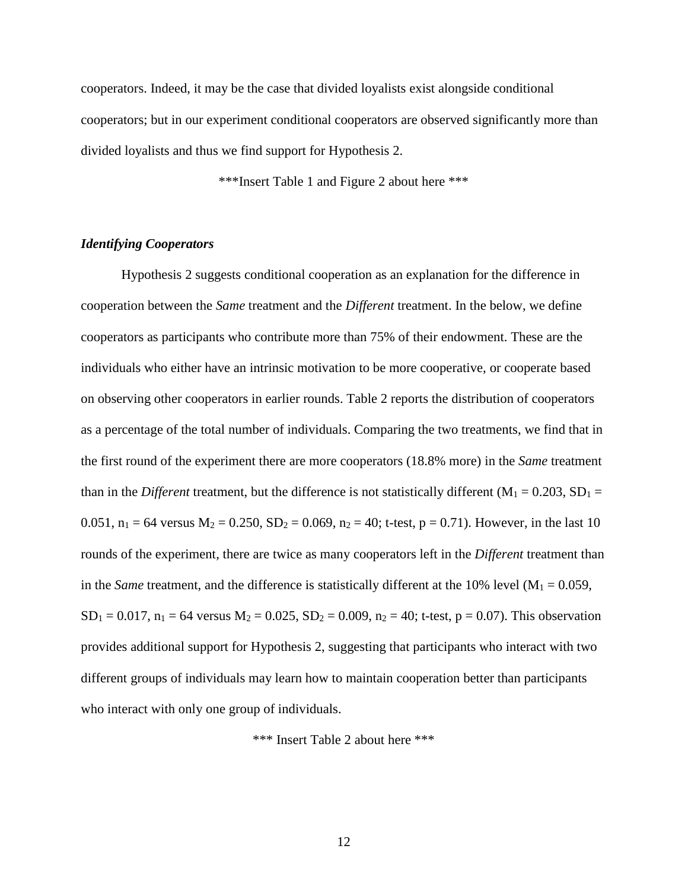cooperators. Indeed, it may be the case that divided loyalists exist alongside conditional cooperators; but in our experiment conditional cooperators are observed significantly more than divided loyalists and thus we find support for Hypothesis 2.

\*\*\*Insert Table 1 and Figure 2 about here \*\*\*

#### *Identifying Cooperators*

Hypothesis 2 suggests conditional cooperation as an explanation for the difference in cooperation between the *Same* treatment and the *Different* treatment. In the below, we define cooperators as participants who contribute more than 75% of their endowment. These are the individuals who either have an intrinsic motivation to be more cooperative, or cooperate based on observing other cooperators in earlier rounds. Table 2 reports the distribution of cooperators as a percentage of the total number of individuals. Comparing the two treatments, we find that in the first round of the experiment there are more cooperators (18.8% more) in the *Same* treatment than in the *Different* treatment, but the difference is not statistically different  $(M_1 = 0.203, SD_1 =$ 0.051,  $n_1 = 64$  versus  $M_2 = 0.250$ ,  $SD_2 = 0.069$ ,  $n_2 = 40$ ; t-test,  $p = 0.71$ ). However, in the last 10 rounds of the experiment, there are twice as many cooperators left in the *Different* treatment than in the *Same* treatment, and the difference is statistically different at the 10% level  $(M_1 = 0.059)$ ,  $SD_1 = 0.017$ ,  $n_1 = 64$  versus  $M_2 = 0.025$ ,  $SD_2 = 0.009$ ,  $n_2 = 40$ ; t-test,  $p = 0.07$ ). This observation provides additional support for Hypothesis 2, suggesting that participants who interact with two different groups of individuals may learn how to maintain cooperation better than participants who interact with only one group of individuals.

\*\*\* Insert Table 2 about here \*\*\*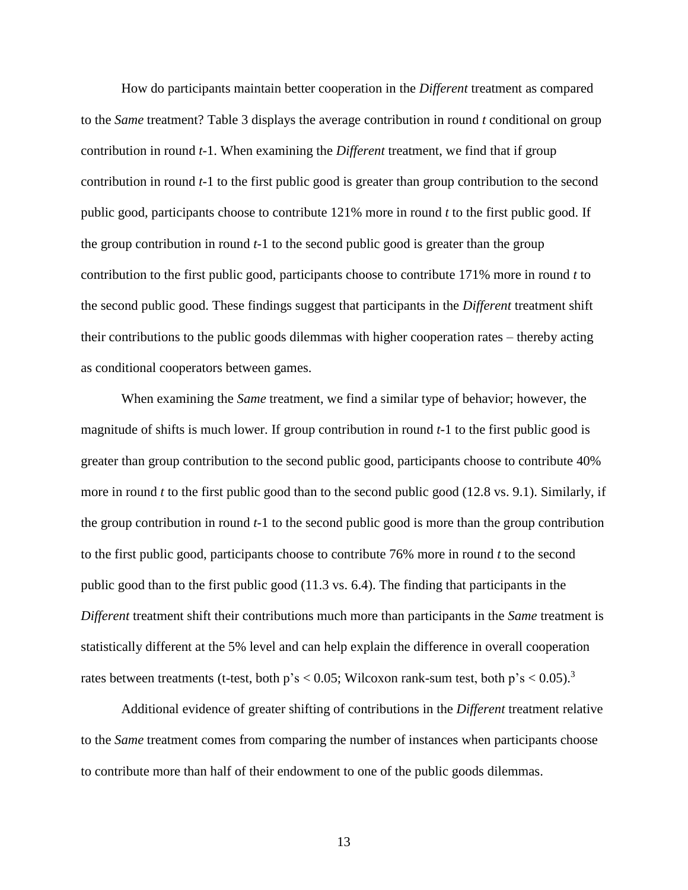How do participants maintain better cooperation in the *Different* treatment as compared to the *Same* treatment? Table 3 displays the average contribution in round *t* conditional on group contribution in round *t*-1. When examining the *Different* treatment, we find that if group contribution in round *t*-1 to the first public good is greater than group contribution to the second public good, participants choose to contribute 121% more in round *t* to the first public good. If the group contribution in round *t*-1 to the second public good is greater than the group contribution to the first public good, participants choose to contribute 171% more in round *t* to the second public good. These findings suggest that participants in the *Different* treatment shift their contributions to the public goods dilemmas with higher cooperation rates – thereby acting as conditional cooperators between games.

When examining the *Same* treatment, we find a similar type of behavior; however, the magnitude of shifts is much lower. If group contribution in round *t*-1 to the first public good is greater than group contribution to the second public good, participants choose to contribute 40% more in round *t* to the first public good than to the second public good (12.8 vs. 9.1). Similarly, if the group contribution in round *t*-1 to the second public good is more than the group contribution to the first public good, participants choose to contribute 76% more in round *t* to the second public good than to the first public good (11.3 vs. 6.4). The finding that participants in the *Different* treatment shift their contributions much more than participants in the *Same* treatment is statistically different at the 5% level and can help explain the difference in overall cooperation rates between treatments (t-test, both  $p's < 0.05$ ; Wilcoxon rank-sum test, both  $p's < 0.05$ ).<sup>3</sup>

Additional evidence of greater shifting of contributions in the *Different* treatment relative to the *Same* treatment comes from comparing the number of instances when participants choose to contribute more than half of their endowment to one of the public goods dilemmas.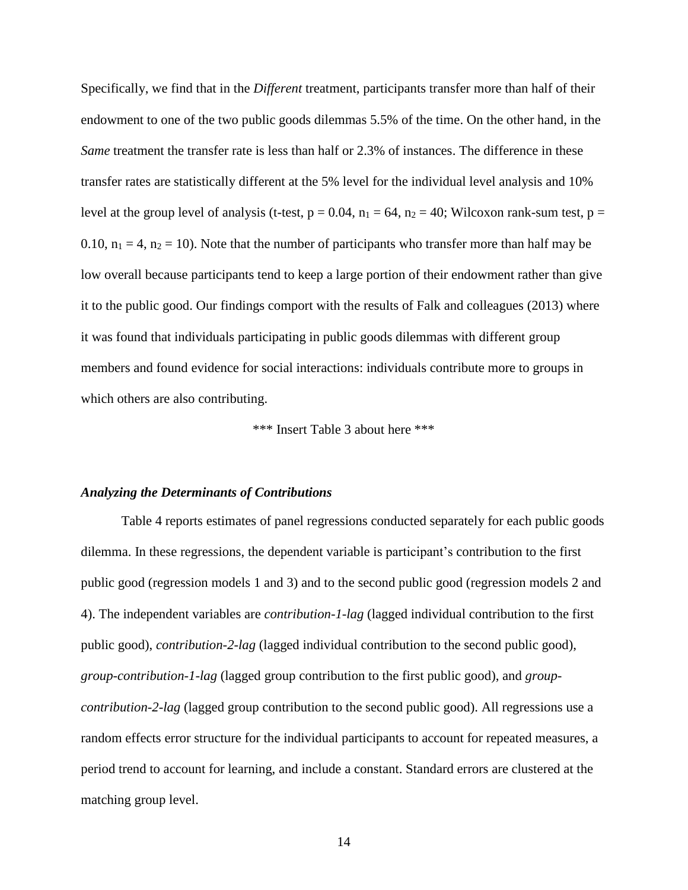Specifically, we find that in the *Different* treatment, participants transfer more than half of their endowment to one of the two public goods dilemmas 5.5% of the time. On the other hand, in the *Same* treatment the transfer rate is less than half or 2.3% of instances. The difference in these transfer rates are statistically different at the 5% level for the individual level analysis and 10% level at the group level of analysis (t-test,  $p = 0.04$ ,  $n_1 = 64$ ,  $n_2 = 40$ ; Wilcoxon rank-sum test,  $p =$ 0.10,  $n_1 = 4$ ,  $n_2 = 10$ ). Note that the number of participants who transfer more than half may be low overall because participants tend to keep a large portion of their endowment rather than give it to the public good. Our findings comport with the results of Falk and colleagues (2013) where it was found that individuals participating in public goods dilemmas with different group members and found evidence for social interactions: individuals contribute more to groups in which others are also contributing.

\*\*\* Insert Table 3 about here \*\*\*

#### *Analyzing the Determinants of Contributions*

Table 4 reports estimates of panel regressions conducted separately for each public goods dilemma. In these regressions, the dependent variable is participant's contribution to the first public good (regression models 1 and 3) and to the second public good (regression models 2 and 4). The independent variables are *contribution-1-lag* (lagged individual contribution to the first public good), *contribution-2-lag* (lagged individual contribution to the second public good), *group-contribution-1-lag* (lagged group contribution to the first public good), and *groupcontribution-2-lag* (lagged group contribution to the second public good). All regressions use a random effects error structure for the individual participants to account for repeated measures, a period trend to account for learning, and include a constant. Standard errors are clustered at the matching group level.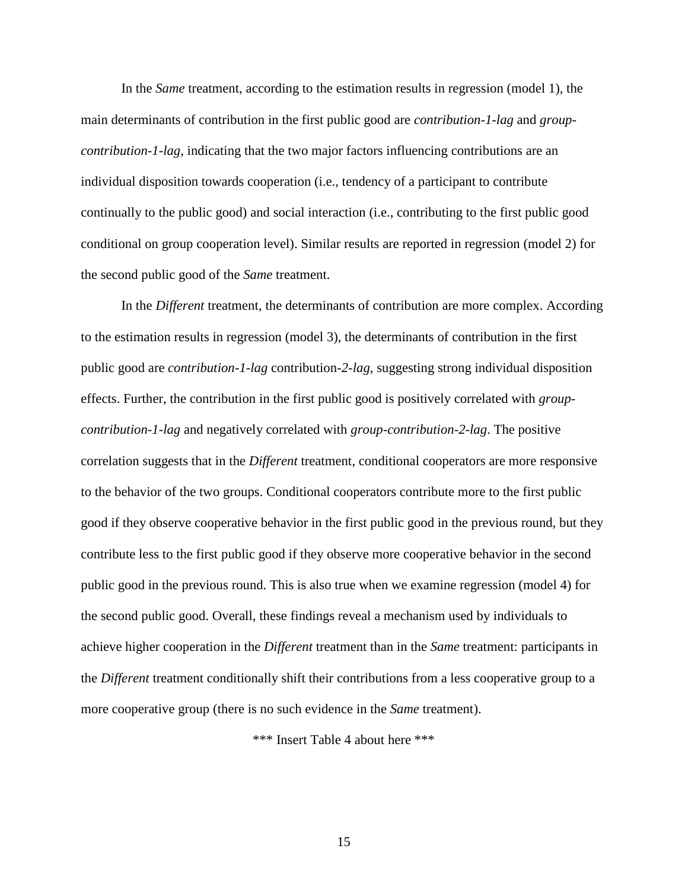In the *Same* treatment, according to the estimation results in regression (model 1), the main determinants of contribution in the first public good are *contribution-1-lag* and *groupcontribution-1-lag*, indicating that the two major factors influencing contributions are an individual disposition towards cooperation (i.e., tendency of a participant to contribute continually to the public good) and social interaction (i.e., contributing to the first public good conditional on group cooperation level). Similar results are reported in regression (model 2) for the second public good of the *Same* treatment.

In the *Different* treatment, the determinants of contribution are more complex. According to the estimation results in regression (model 3), the determinants of contribution in the first public good are *contribution-1-lag* contribution*-2-lag*, suggesting strong individual disposition effects. Further, the contribution in the first public good is positively correlated with *groupcontribution-1-lag* and negatively correlated with *group-contribution-2-lag*. The positive correlation suggests that in the *Different* treatment, conditional cooperators are more responsive to the behavior of the two groups. Conditional cooperators contribute more to the first public good if they observe cooperative behavior in the first public good in the previous round, but they contribute less to the first public good if they observe more cooperative behavior in the second public good in the previous round. This is also true when we examine regression (model 4) for the second public good. Overall, these findings reveal a mechanism used by individuals to achieve higher cooperation in the *Different* treatment than in the *Same* treatment: participants in the *Different* treatment conditionally shift their contributions from a less cooperative group to a more cooperative group (there is no such evidence in the *Same* treatment).

\*\*\* Insert Table 4 about here \*\*\*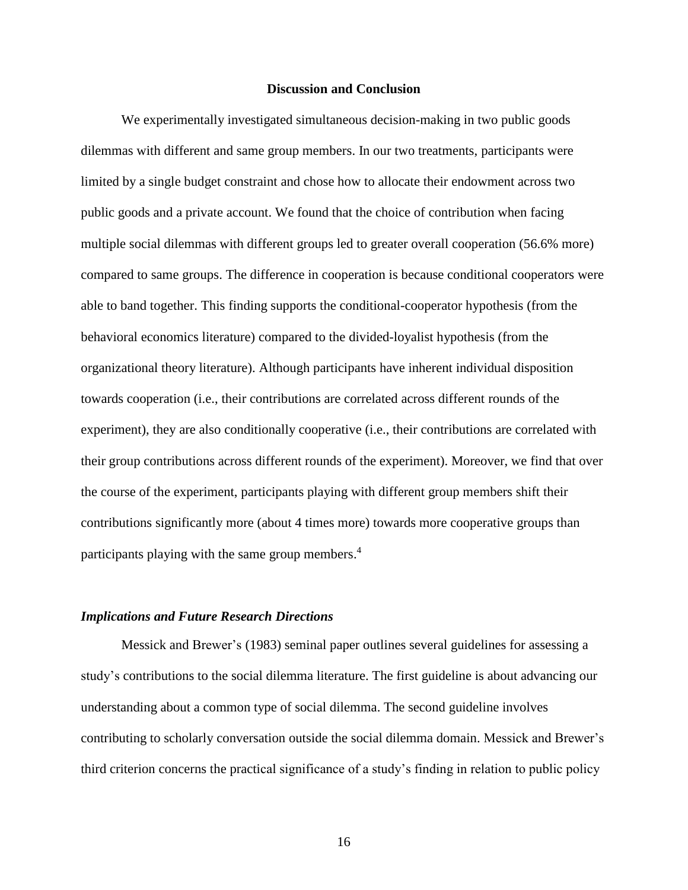#### **Discussion and Conclusion**

We experimentally investigated simultaneous decision-making in two public goods dilemmas with different and same group members. In our two treatments, participants were limited by a single budget constraint and chose how to allocate their endowment across two public goods and a private account. We found that the choice of contribution when facing multiple social dilemmas with different groups led to greater overall cooperation (56.6% more) compared to same groups. The difference in cooperation is because conditional cooperators were able to band together. This finding supports the conditional-cooperator hypothesis (from the behavioral economics literature) compared to the divided-loyalist hypothesis (from the organizational theory literature). Although participants have inherent individual disposition towards cooperation (i.e., their contributions are correlated across different rounds of the experiment), they are also conditionally cooperative (i.e., their contributions are correlated with their group contributions across different rounds of the experiment). Moreover, we find that over the course of the experiment, participants playing with different group members shift their contributions significantly more (about 4 times more) towards more cooperative groups than participants playing with the same group members. 4

#### *Implications and Future Research Directions*

Messick and Brewer's [\(1983\)](#page-26-4) seminal paper outlines several guidelines for assessing a study's contributions to the social dilemma literature. The first guideline is about advancing our understanding about a common type of social dilemma. The second guideline involves contributing to scholarly conversation outside the social dilemma domain. Messick and Brewer's third criterion concerns the practical significance of a study's finding in relation to public policy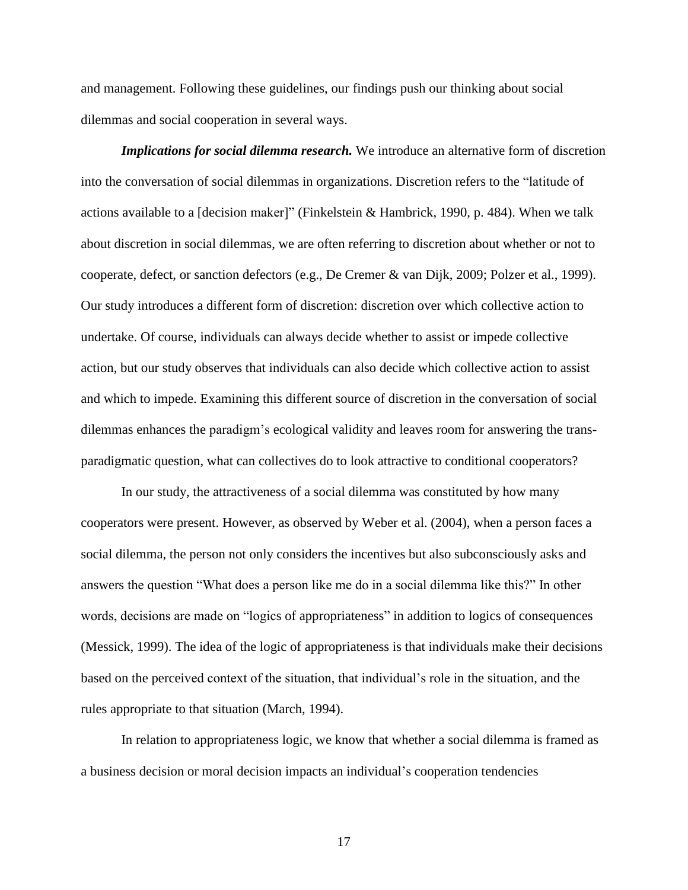and management. Following these guidelines, our findings push our thinking about social dilemmas and social cooperation in several ways.

*Implications for social dilemma research.* We introduce an alternative form of discretion into the conversation of social dilemmas in organizations. Discretion refers to the "latitude of actions available to a [decision maker]" [\(Finkelstein & Hambrick, 1990, p. 484\)](#page-25-9). When we talk about discretion in social dilemmas, we are often referring to discretion about whether or not to cooperate, defect, or sanction defectors (e.g., [De Cremer & van Dijk, 2009;](#page-24-13) [Polzer et al., 1999\)](#page-27-8). Our study introduces a different form of discretion: discretion over which collective action to undertake. Of course, individuals can always decide whether to assist or impede collective action, but our study observes that individuals can also decide which collective action to assist and which to impede. Examining this different source of discretion in the conversation of social dilemmas enhances the paradigm's ecological validity and leaves room for answering the transparadigmatic question, what can collectives do to look attractive to conditional cooperators?

In our study, the attractiveness of a social dilemma was constituted by how many cooperators were present. However, as observed by Weber et al. [\(2004\)](#page-27-11), when a person faces a social dilemma, the person not only considers the incentives but also subconsciously asks and answers the question "What does a person like me do in a social dilemma like this?" In other words, decisions are made on "logics of appropriateness" in addition to logics of consequences [\(Messick, 1999\)](#page-26-8). The idea of the logic of appropriateness is that individuals make their decisions based on the perceived context of the situation, that individual's role in the situation, and the rules appropriate to that situation [\(March, 1994\)](#page-26-9).

In relation to appropriateness logic, we know that whether a social dilemma is framed as a business decision or moral decision impacts an individual's cooperation tendencies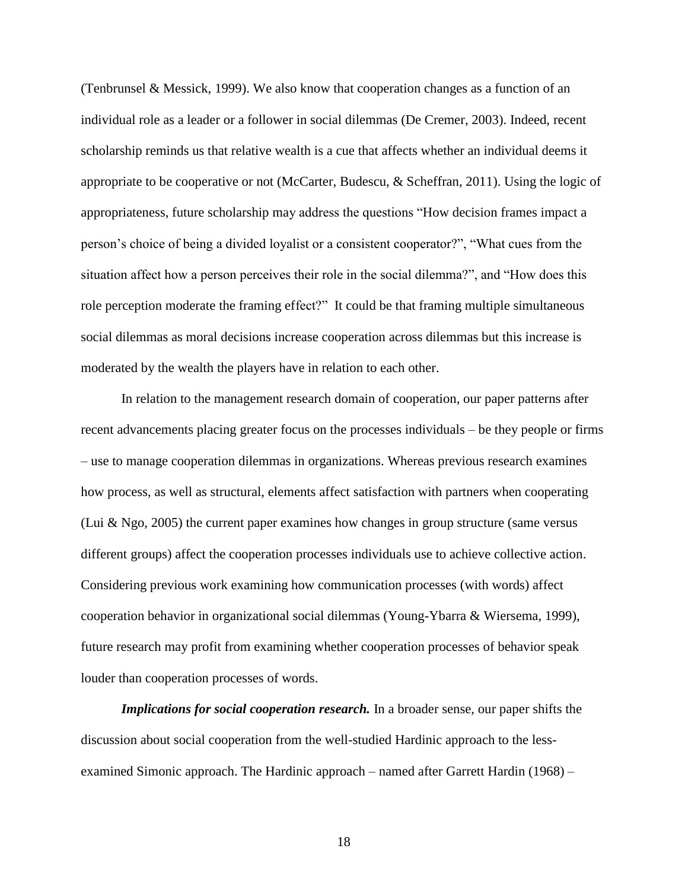[\(Tenbrunsel & Messick, 1999\)](#page-27-12). We also know that cooperation changes as a function of an individual role as a leader or a follower in social dilemmas [\(De Cremer, 2003\)](#page-24-14). Indeed, recent scholarship reminds us that relative wealth is a cue that affects whether an individual deems it appropriate to be cooperative or not [\(McCarter, Budescu, & Scheffran, 2011\)](#page-26-10). Using the logic of appropriateness, future scholarship may address the questions "How decision frames impact a person's choice of being a divided loyalist or a consistent cooperator?", "What cues from the situation affect how a person perceives their role in the social dilemma?", and "How does this role perception moderate the framing effect?" It could be that framing multiple simultaneous social dilemmas as moral decisions increase cooperation across dilemmas but this increase is moderated by the wealth the players have in relation to each other.

In relation to the management research domain of cooperation, our paper patterns after recent advancements placing greater focus on the processes individuals – be they people or firms – use to manage cooperation dilemmas in organizations. Whereas previous research examines how process, as well as structural, elements affect satisfaction with partners when cooperating [\(Lui & Ngo, 2005\)](#page-26-11) the current paper examines how changes in group structure (same versus different groups) affect the cooperation processes individuals use to achieve collective action. Considering previous work examining how communication processes (with words) affect cooperation behavior in organizational social dilemmas [\(Young-Ybarra & Wiersema, 1999\)](#page-28-1), future research may profit from examining whether cooperation processes of behavior speak louder than cooperation processes of words.

*Implications for social cooperation research*. In a broader sense, our paper shifts the discussion about social cooperation from the well-studied Hardinic approach to the lessexamined Simonic approach. The Hardinic approach – named after Garrett Hardin (1968) –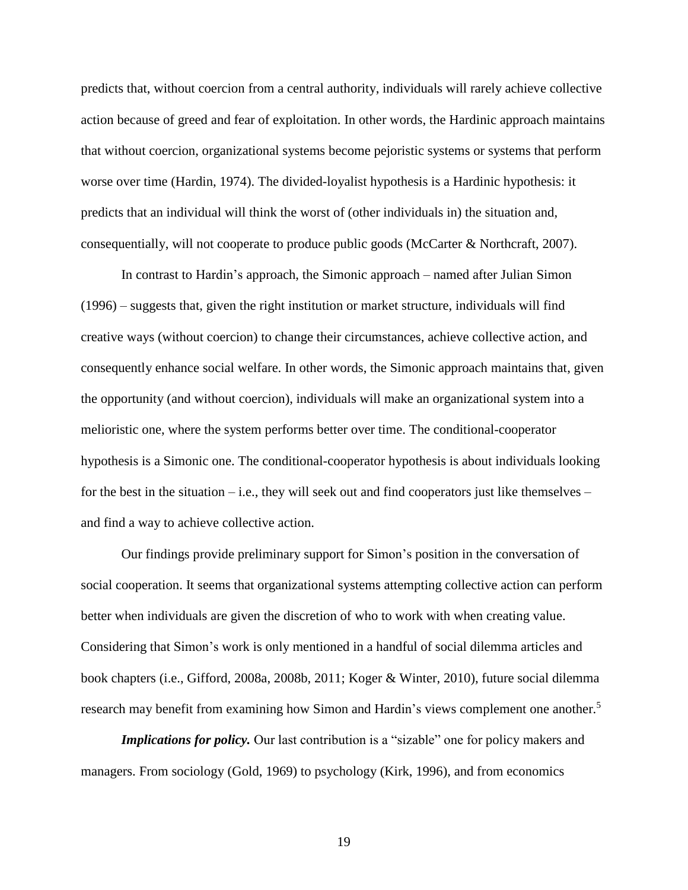predicts that, without coercion from a central authority, individuals will rarely achieve collective action because of greed and fear of exploitation. In other words, the Hardinic approach maintains that without coercion, organizational systems become pejoristic systems or systems that perform worse over time [\(Hardin, 1974\)](#page-25-10). The divided-loyalist hypothesis is a Hardinic hypothesis: it predicts that an individual will think the worst of (other individuals in) the situation and, consequentially, will not cooperate to produce public goods (McCarter & Northcraft, 2007).

In contrast to Hardin's approach, the Simonic approach – named after Julian Simon (1996) – suggests that, given the right institution or market structure, individuals will find creative ways (without coercion) to change their circumstances, achieve collective action, and consequently enhance social welfare. In other words, the Simonic approach maintains that, given the opportunity (and without coercion), individuals will make an organizational system into a melioristic one, where the system performs better over time. The conditional-cooperator hypothesis is a Simonic one. The conditional-cooperator hypothesis is about individuals looking for the best in the situation – i.e., they will seek out and find cooperators just like themselves – and find a way to achieve collective action.

Our findings provide preliminary support for Simon's position in the conversation of social cooperation. It seems that organizational systems attempting collective action can perform better when individuals are given the discretion of who to work with when creating value. Considering that Simon's work is only mentioned in a handful of social dilemma articles and book chapters (i.e., [Gifford, 2008a,](#page-25-11) [2008b,](#page-25-12) [2011;](#page-25-13) [Koger & Winter, 2010\)](#page-26-12), future social dilemma research may benefit from examining how Simon and Hardin's views complement one another.<sup>5</sup>

*Implications for policy.* Our last contribution is a "sizable" one for policy makers and managers. From sociology [\(Gold, 1969\)](#page-25-14) to psychology [\(Kirk, 1996\)](#page-26-13), and from economics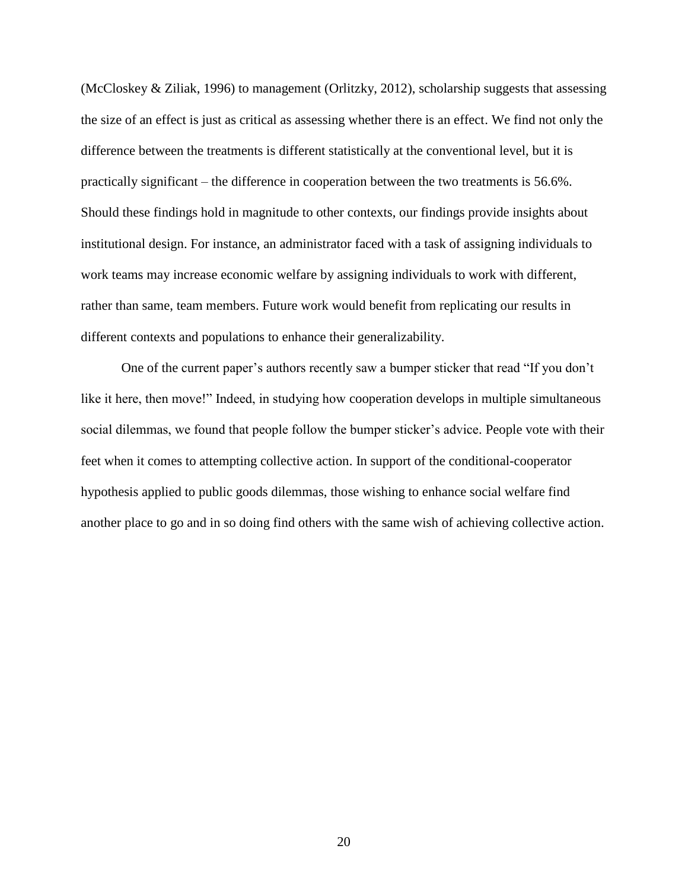(McCloskey & Ziliak, 1996) to management [\(Orlitzky, 2012\)](#page-27-13), scholarship suggests that assessing the size of an effect is just as critical as assessing whether there is an effect. We find not only the difference between the treatments is different statistically at the conventional level, but it is practically significant – the difference in cooperation between the two treatments is 56.6%. Should these findings hold in magnitude to other contexts, our findings provide insights about institutional design. For instance, an administrator faced with a task of assigning individuals to work teams may increase economic welfare by assigning individuals to work with different, rather than same, team members. Future work would benefit from replicating our results in different contexts and populations to enhance their generalizability.

One of the current paper's authors recently saw a bumper sticker that read "If you don't like it here, then move!" Indeed, in studying how cooperation develops in multiple simultaneous social dilemmas, we found that people follow the bumper sticker's advice. People vote with their feet when it comes to attempting collective action. In support of the conditional-cooperator hypothesis applied to public goods dilemmas, those wishing to enhance social welfare find another place to go and in so doing find others with the same wish of achieving collective action.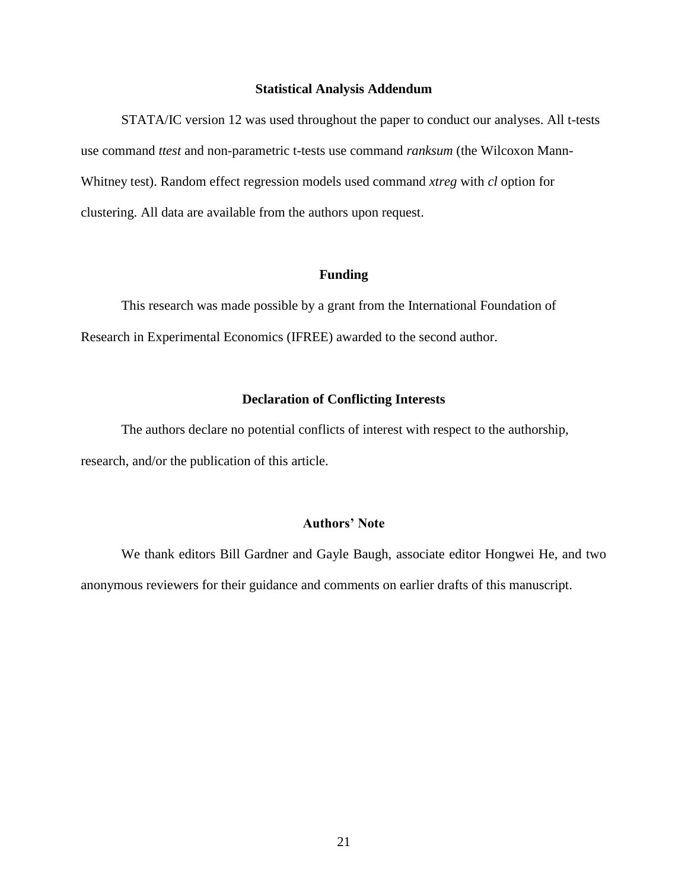#### **Statistical Analysis Addendum**

STATA/IC version 12 was used throughout the paper to conduct our analyses. All t-tests use command *ttest* and non-parametric t-tests use command *ranksum* (the Wilcoxon Mann-Whitney test). Random effect regression models used command *xtreg* with *cl* option for clustering. All data are available from the authors upon request.

#### **Funding**

This research was made possible by a grant from the International Foundation of Research in Experimental Economics (IFREE) awarded to the second author.

#### **Declaration of Conflicting Interests**

The authors declare no potential conflicts of interest with respect to the authorship, research, and/or the publication of this article.

#### **Authors' Note**

We thank editors Bill Gardner and Gayle Baugh, associate editor Hongwei He, and two anonymous reviewers for their guidance and comments on earlier drafts of this manuscript.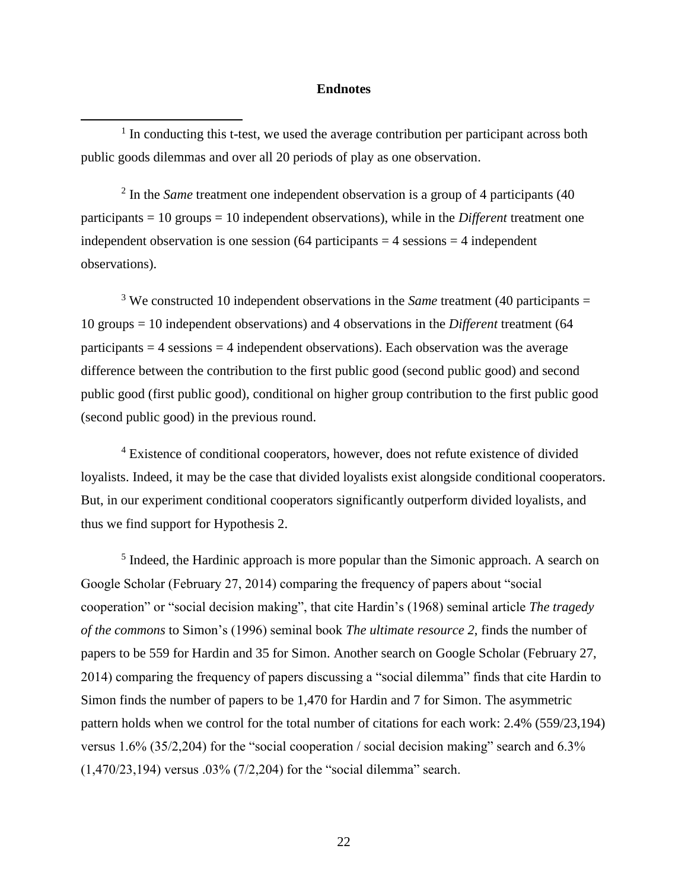#### **Endnotes**

<sup>1</sup> In conducting this t-test, we used the average contribution per participant across both public goods dilemmas and over all 20 periods of play as one observation.

 $\overline{a}$ 

<sup>2</sup> In the *Same* treatment one independent observation is a group of 4 participants (40) participants = 10 groups = 10 independent observations), while in the *Different* treatment one independent observation is one session  $(64$  participants  $= 4$  sessions  $= 4$  independent observations).

<sup>3</sup> We constructed 10 independent observations in the *Same* treatment (40 participants = 10 groups = 10 independent observations) and 4 observations in the *Different* treatment (64 participants  $= 4$  sessions  $= 4$  independent observations). Each observation was the average difference between the contribution to the first public good (second public good) and second public good (first public good), conditional on higher group contribution to the first public good (second public good) in the previous round.

<sup>4</sup> Existence of conditional cooperators, however, does not refute existence of divided loyalists. Indeed, it may be the case that divided loyalists exist alongside conditional cooperators. But, in our experiment conditional cooperators significantly outperform divided loyalists, and thus we find support for Hypothesis 2.

<sup>5</sup> Indeed, the Hardinic approach is more popular than the Simonic approach. A search on Google Scholar (February 27, 2014) comparing the frequency of papers about "social cooperation" or "social decision making", that cite Hardin's (1968) seminal article *The tragedy of the commons* to Simon's (1996) seminal book *The ultimate resource 2*, finds the number of papers to be 559 for Hardin and 35 for Simon. Another search on Google Scholar (February 27, 2014) comparing the frequency of papers discussing a "social dilemma" finds that cite Hardin to Simon finds the number of papers to be 1,470 for Hardin and 7 for Simon. The asymmetric pattern holds when we control for the total number of citations for each work: 2.4% (559/23,194) versus 1.6% (35/2,204) for the "social cooperation / social decision making" search and 6.3% (1,470/23,194) versus .03% (7/2,204) for the "social dilemma" search.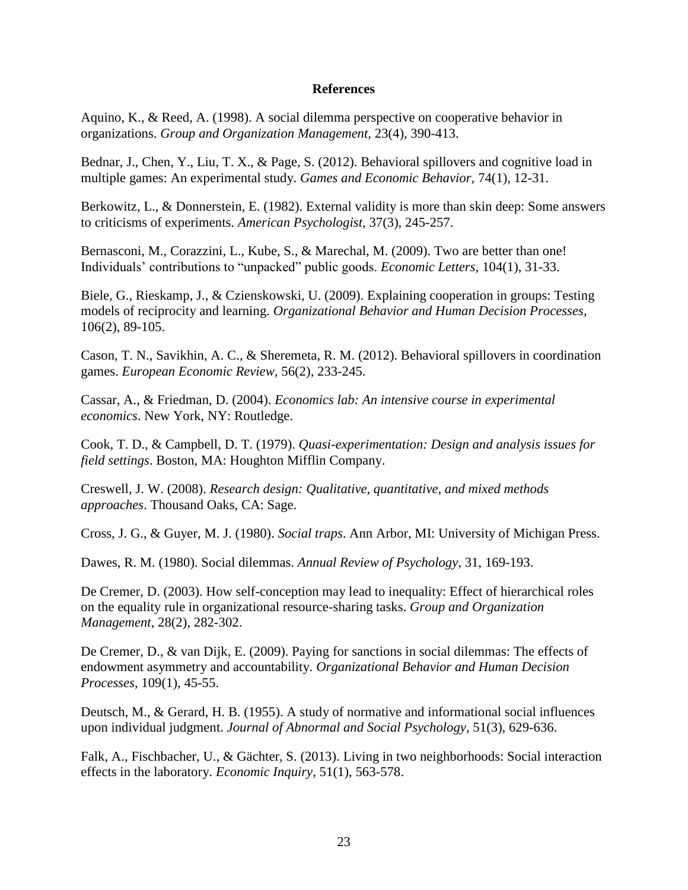#### **References**

<span id="page-24-0"></span>Aquino, K., & Reed, A. (1998). A social dilemma perspective on cooperative behavior in organizations. *Group and Organization Management,* 23(4), 390-413.

<span id="page-24-4"></span>Bednar, J., Chen, Y., Liu, T. X., & Page, S. (2012). Behavioral spillovers and cognitive load in multiple games: An experimental study. *Games and Economic Behavior,* 74(1), 12-31.

<span id="page-24-9"></span>Berkowitz, L., & Donnerstein, E. (1982). External validity is more than skin deep: Some answers to criticisms of experiments. *American Psychologist,* 37(3), 245-257.

<span id="page-24-11"></span>Bernasconi, M., Corazzini, L., Kube, S., & Marechal, M. (2009). Two are better than one! Individuals' contributions to "unpacked" public goods. *Economic Letters,* 104(1), 31-33.

<span id="page-24-12"></span>Biele, G., Rieskamp, J., & Czienskowski, U. (2009). Explaining cooperation in groups: Testing models of reciprocity and learning. *Organizational Behavior and Human Decision Processes,*  106(2), 89-105.

<span id="page-24-5"></span>Cason, T. N., Savikhin, A. C., & Sheremeta, R. M. (2012). Behavioral spillovers in coordination games. *European Economic Review,* 56(2), 233-245.

<span id="page-24-10"></span>Cassar, A., & Friedman, D. (2004). *Economics lab: An intensive course in experimental economics*. New York, NY: Routledge.

<span id="page-24-7"></span>Cook, T. D., & Campbell, D. T. (1979). *Quasi-experimentation: Design and analysis issues for field settings*. Boston, MA: Houghton Mifflin Company.

<span id="page-24-8"></span>Creswell, J. W. (2008). *Research design: Qualitative, quantitative, and mixed methods approaches*. Thousand Oaks, CA: Sage.

<span id="page-24-2"></span>Cross, J. G., & Guyer, M. J. (1980). *Social traps*. Ann Arbor, MI: University of Michigan Press.

<span id="page-24-1"></span>Dawes, R. M. (1980). Social dilemmas. *Annual Review of Psychology,* 31, 169-193.

<span id="page-24-14"></span>De Cremer, D. (2003). How self-conception may lead to inequality: Effect of hierarchical roles on the equality rule in organizational resource-sharing tasks. *Group and Organization Management,* 28(2), 282-302.

<span id="page-24-13"></span>De Cremer, D., & van Dijk, E. (2009). Paying for sanctions in social dilemmas: The effects of endowment asymmetry and accountability. *Organizational Behavior and Human Decision Processes,* 109(1), 45-55.

<span id="page-24-6"></span>Deutsch, M., & Gerard, H. B. (1955). A study of normative and informational social influences upon individual judgment. *Journal of Abnormal and Social Psychology,* 51(3), 629-636.

<span id="page-24-3"></span>Falk, A., Fischbacher, U., & Gächter, S. (2013). Living in two neighborhoods: Social interaction effects in the laboratory. *Economic Inquiry,* 51(1), 563-578.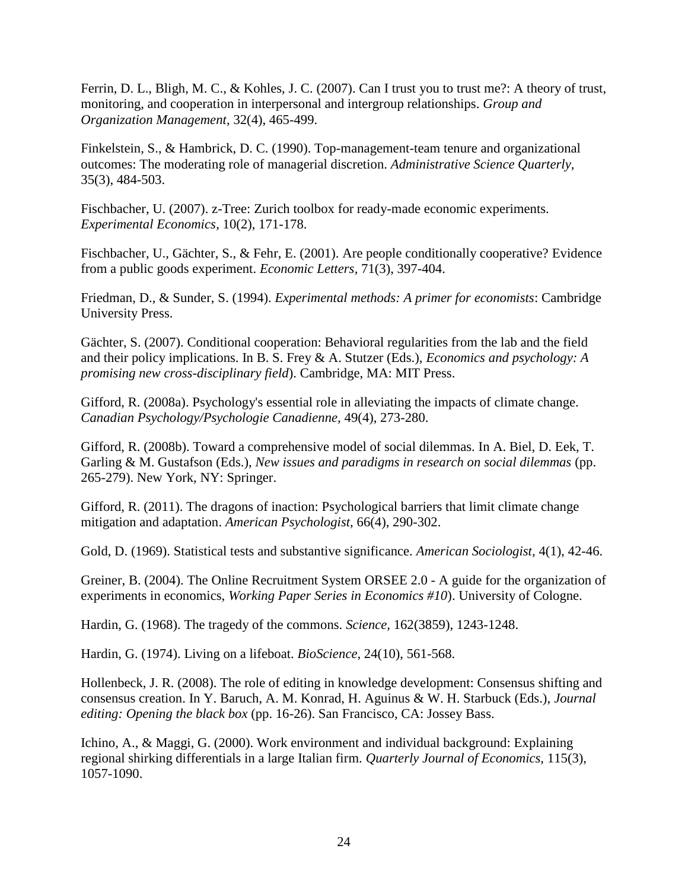<span id="page-25-0"></span>Ferrin, D. L., Bligh, M. C., & Kohles, J. C. (2007). Can I trust you to trust me?: A theory of trust, monitoring, and cooperation in interpersonal and intergroup relationships. *Group and Organization Management,* 32(4), 465-499.

<span id="page-25-9"></span>Finkelstein, S., & Hambrick, D. C. (1990). Top-management-team tenure and organizational outcomes: The moderating role of managerial discretion. *Administrative Science Quarterly,*  35(3), 484-503.

<span id="page-25-8"></span>Fischbacher, U. (2007). z-Tree: Zurich toolbox for ready-made economic experiments. *Experimental Economics,* 10(2), 171-178.

<span id="page-25-1"></span>Fischbacher, U., Gächter, S., & Fehr, E. (2001). Are people conditionally cooperative? Evidence from a public goods experiment. *Economic Letters,* 71(3), 397-404.

<span id="page-25-6"></span>Friedman, D., & Sunder, S. (1994). *Experimental methods: A primer for economists*: Cambridge University Press.

<span id="page-25-4"></span>Gächter, S. (2007). Conditional cooperation: Behavioral regularities from the lab and the field and their policy implications. In B. S. Frey & A. Stutzer (Eds.), *Economics and psychology: A promising new cross-disciplinary field*). Cambridge, MA: MIT Press.

<span id="page-25-11"></span>Gifford, R. (2008a). Psychology's essential role in alleviating the impacts of climate change. *Canadian Psychology/Psychologie Canadienne,* 49(4), 273-280.

<span id="page-25-12"></span>Gifford, R. (2008b). Toward a comprehensive model of social dilemmas. In A. Biel, D. Eek, T. Garling & M. Gustafson (Eds.), *New issues and paradigms in research on social dilemmas* (pp. 265-279). New York, NY: Springer.

<span id="page-25-13"></span>Gifford, R. (2011). The dragons of inaction: Psychological barriers that limit climate change mitigation and adaptation. *American Psychologist,* 66(4), 290-302.

<span id="page-25-14"></span>Gold, D. (1969). Statistical tests and substantive significance. *American Sociologist,* 4(1), 42-46.

<span id="page-25-7"></span>Greiner, B. (2004). The Online Recruitment System ORSEE 2.0 - A guide for the organization of experiments in economics, *Working Paper Series in Economics #10*). University of Cologne.

<span id="page-25-3"></span>Hardin, G. (1968). The tragedy of the commons. *Science,* 162(3859), 1243-1248.

<span id="page-25-10"></span>Hardin, G. (1974). Living on a lifeboat. *BioScience,* 24(10), 561-568.

<span id="page-25-2"></span>Hollenbeck, J. R. (2008). The role of editing in knowledge development: Consensus shifting and consensus creation. In Y. Baruch, A. M. Konrad, H. Aguinus & W. H. Starbuck (Eds.), *Journal editing: Opening the black box* (pp. 16-26). San Francisco, CA: Jossey Bass.

<span id="page-25-5"></span>Ichino, A., & Maggi, G. (2000). Work environment and individual background: Explaining regional shirking differentials in a large Italian firm. *Quarterly Journal of Economics,* 115(3), 1057-1090.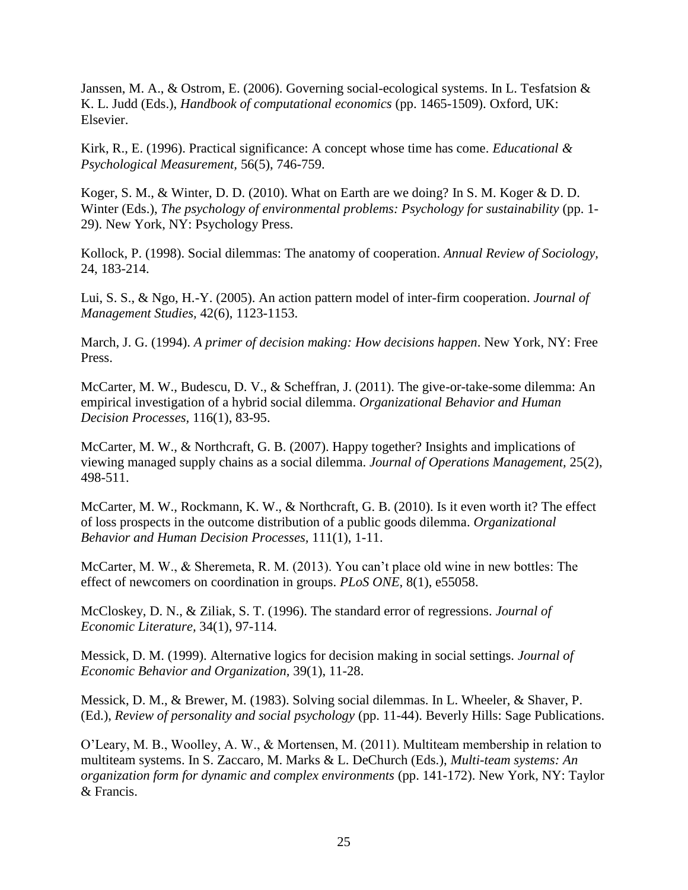<span id="page-26-1"></span>Janssen, M. A., & Ostrom, E. (2006). Governing social-ecological systems. In L. Tesfatsion & K. L. Judd (Eds.), *Handbook of computational economics* (pp. 1465-1509). Oxford, UK: Elsevier.

<span id="page-26-13"></span>Kirk, R., E. (1996). Practical significance: A concept whose time has come. *Educational & Psychological Measurement,* 56(5), 746-759.

<span id="page-26-12"></span>Koger, S. M., & Winter, D. D. (2010). What on Earth are we doing? In S. M. Koger & D. D. Winter (Eds.), *The psychology of environmental problems: Psychology for sustainability* (pp. 1- 29). New York, NY: Psychology Press.

<span id="page-26-0"></span>Kollock, P. (1998). Social dilemmas: The anatomy of cooperation. *Annual Review of Sociology,*  24, 183-214.

<span id="page-26-11"></span>Lui, S. S., & Ngo, H.-Y. (2005). An action pattern model of inter-firm cooperation. *Journal of Management Studies,* 42(6), 1123-1153.

<span id="page-26-9"></span>March, J. G. (1994). *A primer of decision making: How decisions happen*. New York, NY: Free Press.

<span id="page-26-10"></span>McCarter, M. W., Budescu, D. V., & Scheffran, J. (2011). The give-or-take-some dilemma: An empirical investigation of a hybrid social dilemma. *Organizational Behavior and Human Decision Processes,* 116(1), 83-95.

<span id="page-26-3"></span>McCarter, M. W., & Northcraft, G. B. (2007). Happy together? Insights and implications of viewing managed supply chains as a social dilemma. *Journal of Operations Management,* 25(2), 498-511.

<span id="page-26-5"></span>McCarter, M. W., Rockmann, K. W., & Northcraft, G. B. (2010). Is it even worth it? The effect of loss prospects in the outcome distribution of a public goods dilemma. *Organizational Behavior and Human Decision Processes,* 111(1), 1-11.

<span id="page-26-2"></span>McCarter, M. W., & Sheremeta, R. M. (2013). You can't place old wine in new bottles: The effect of newcomers on coordination in groups. *PLoS ONE,* 8(1), e55058.

<span id="page-26-7"></span>McCloskey, D. N., & Ziliak, S. T. (1996). The standard error of regressions. *Journal of Economic Literature,* 34(1), 97-114.

<span id="page-26-8"></span>Messick, D. M. (1999). Alternative logics for decision making in social settings. *Journal of Economic Behavior and Organization,* 39(1), 11-28.

<span id="page-26-4"></span>Messick, D. M., & Brewer, M. (1983). Solving social dilemmas. In L. Wheeler, & Shaver, P. (Ed.), *Review of personality and social psychology* (pp. 11-44). Beverly Hills: Sage Publications.

<span id="page-26-6"></span>O'Leary, M. B., Woolley, A. W., & Mortensen, M. (2011). Multiteam membership in relation to multiteam systems. In S. Zaccaro, M. Marks & L. DeChurch (Eds.), *Multi-team systems: An organization form for dynamic and complex environments* (pp. 141-172). New York, NY: Taylor & Francis.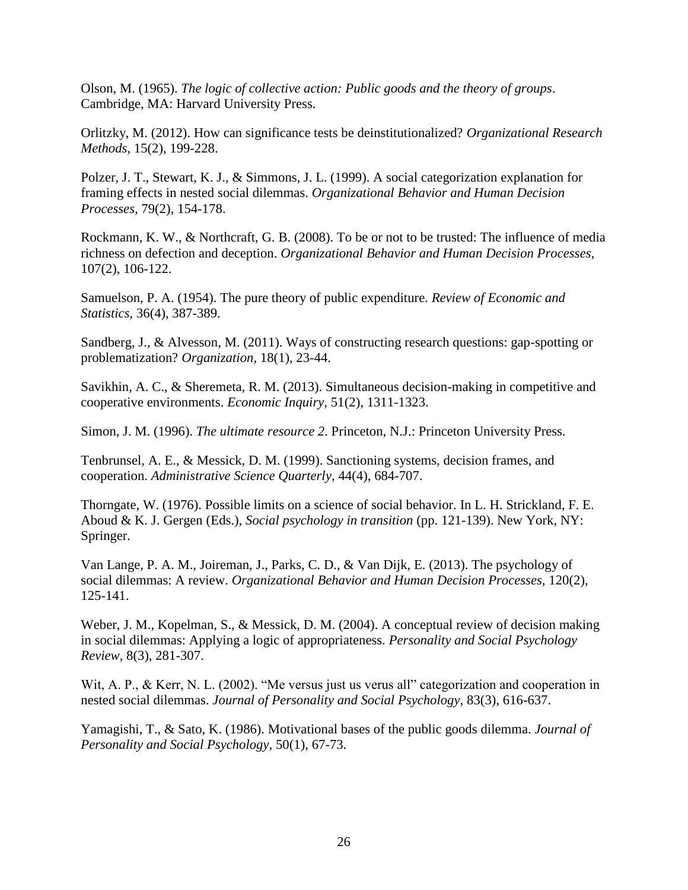<span id="page-27-0"></span>Olson, M. (1965). *The logic of collective action: Public goods and the theory of groups*. Cambridge, MA: Harvard University Press.

<span id="page-27-13"></span>Orlitzky, M. (2012). How can significance tests be deinstitutionalized? *Organizational Research Methods,* 15(2), 199-228.

<span id="page-27-8"></span>Polzer, J. T., Stewart, K. J., & Simmons, J. L. (1999). A social categorization explanation for framing effects in nested social dilemmas. *Organizational Behavior and Human Decision Processes,* 79(2), 154-178.

<span id="page-27-6"></span>Rockmann, K. W., & Northcraft, G. B. (2008). To be or not to be trusted: The influence of media richness on defection and deception. *Organizational Behavior and Human Decision Processes,*  107(2), 106-122.

<span id="page-27-4"></span>Samuelson, P. A. (1954). The pure theory of public expenditure. *Review of Economic and Statistics,* 36(4), 387-389.

<span id="page-27-2"></span>Sandberg, J., & Alvesson, M. (2011). Ways of constructing research questions: gap-spotting or problematization? *Organization,* 18(1), 23-44.

<span id="page-27-1"></span>Savikhin, A. C., & Sheremeta, R. M. (2013). Simultaneous decision-making in competitive and cooperative environments. *Economic Inquiry,* 51(2), 1311-1323.

<span id="page-27-3"></span>Simon, J. M. (1996). *The ultimate resource* 2. Princeton, N.J.: Princeton University Press.

<span id="page-27-12"></span>Tenbrunsel, A. E., & Messick, D. M. (1999). Sanctioning systems, decision frames, and cooperation. *Administrative Science Quarterly,* 44(4), 684-707.

<span id="page-27-10"></span>Thorngate, W. (1976). Possible limits on a science of social behavior. In L. H. Strickland, F. E. Aboud & K. J. Gergen (Eds.), *Social psychology in transition* (pp. 121-139). New York, NY: Springer.

<span id="page-27-7"></span>Van Lange, P. A. M., Joireman, J., Parks, C. D., & Van Dijk, E. (2013). The psychology of social dilemmas: A review. *Organizational Behavior and Human Decision Processes,* 120(2), 125-141.

<span id="page-27-11"></span>Weber, J. M., Kopelman, S., & Messick, D. M. (2004). A conceptual review of decision making in social dilemmas: Applying a logic of appropriateness. *Personality and Social Psychology Review,* 8(3), 281-307.

<span id="page-27-9"></span>Wit, A. P., & Kerr, N. L. (2002). "Me versus just us verus all" categorization and cooperation in nested social dilemmas. *Journal of Personality and Social Psychology,* 83(3), 616-637.

<span id="page-27-5"></span>Yamagishi, T., & Sato, K. (1986). Motivational bases of the public goods dilemma. *Journal of Personality and Social Psychology,* 50(1), 67-73.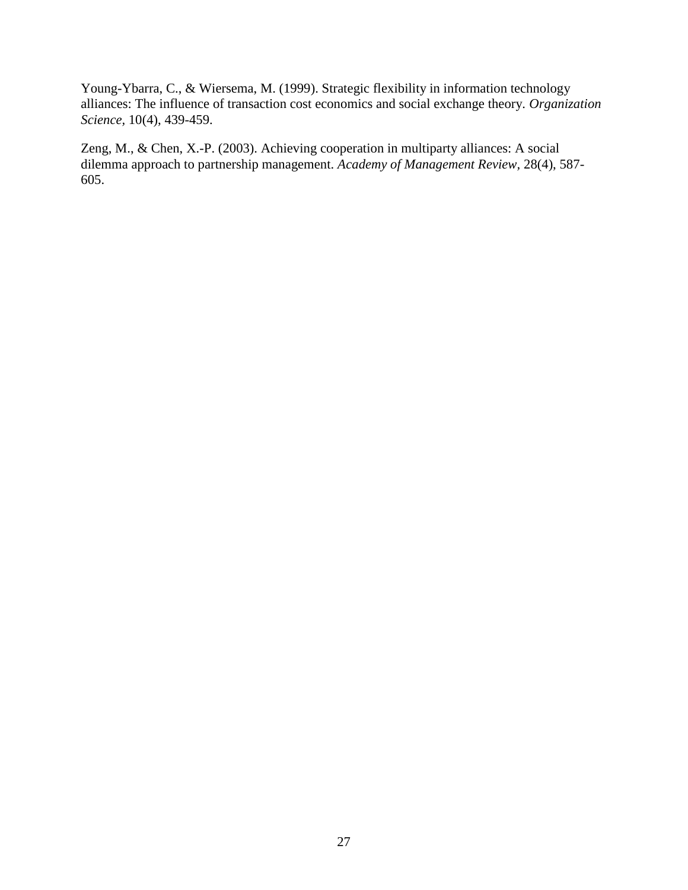<span id="page-28-1"></span>Young-Ybarra, C., & Wiersema, M. (1999). Strategic flexibility in information technology alliances: The influence of transaction cost economics and social exchange theory. *Organization Science,* 10(4), 439-459.

<span id="page-28-0"></span>Zeng, M., & Chen, X.-P. (2003). Achieving cooperation in multiparty alliances: A social dilemma approach to partnership management. *Academy of Management Review,* 28(4), 587- 605.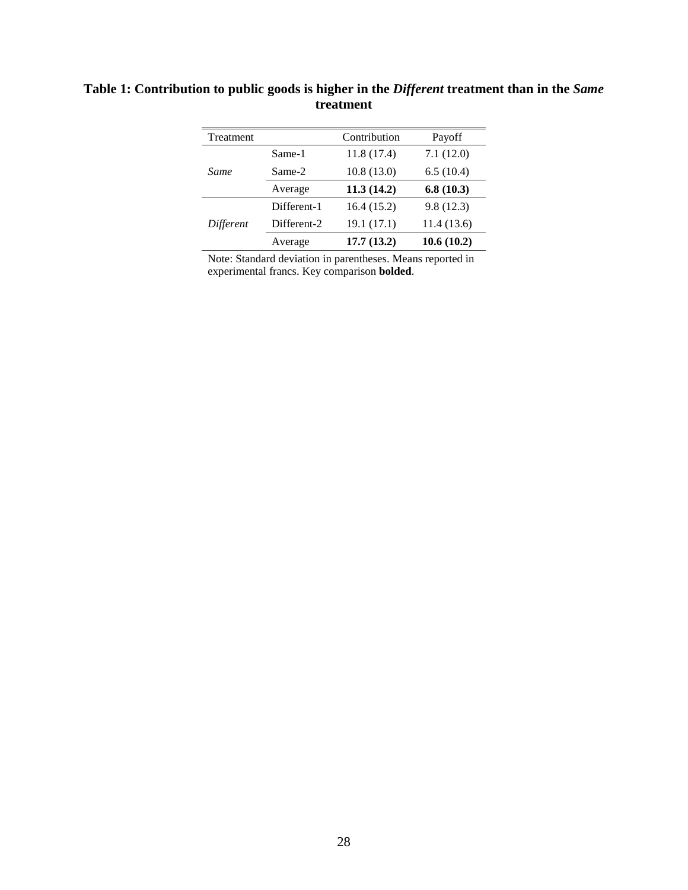| <b>Treatment</b> |             | Contribution | Payoff     |
|------------------|-------------|--------------|------------|
|                  | Same-1      | 11.8(17.4)   | 7.1(12.0)  |
| Same             | Same-2      | 10.8(13.0)   | 6.5(10.4)  |
|                  | Average     | 11.3(14.2)   | 6.8(10.3)  |
| Different        | Different-1 | 16.4(15.2)   | 9.8(12.3)  |
|                  | Different-2 | 19.1 (17.1)  | 11.4(13.6) |
|                  | Average     | 17.7(13.2)   | 10.6(10.2) |

### **Table 1: Contribution to public goods is higher in the** *Different* **treatment than in the** *Same* **treatment**

Note: Standard deviation in parentheses. Means reported in experimental francs. Key comparison **bolded**.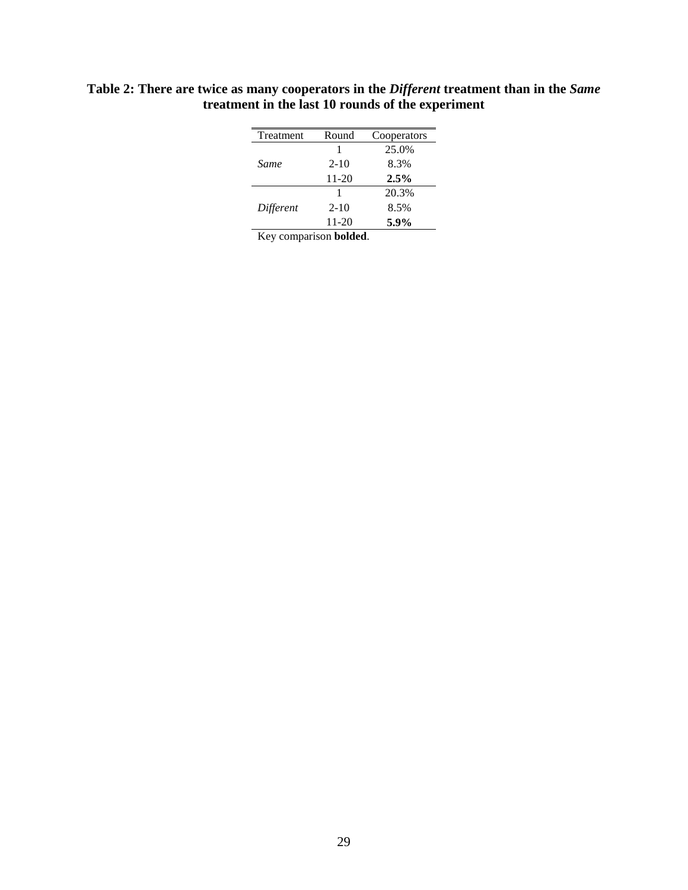| Treatment | Round     | Cooperators |
|-----------|-----------|-------------|
|           |           | 25.0%       |
| Same      | $2 - 10$  | 8.3%        |
|           | 11-20     | 2.5%        |
|           |           | 20.3%       |
| Different | $2 - 10$  | 8.5%        |
|           | $11 - 20$ | 5.9%        |
|           |           |             |

**Table 2: There are twice as many cooperators in the** *Different* **treatment than in the** *Same* **treatment in the last 10 rounds of the experiment**

Key comparison **bolded**.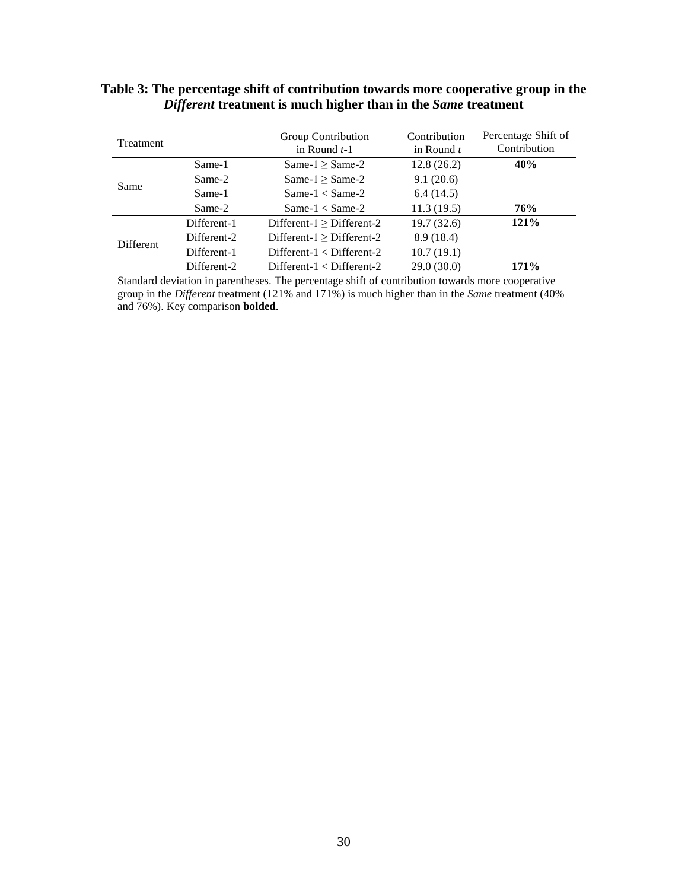### **Table 3: The percentage shift of contribution towards more cooperative group in the**  *Different* **treatment is much higher than in the** *Same* **treatment**

| Treatment |             | Group Contribution<br>in Round $t-1$ | Contribution<br>in Round $t$ | Percentage Shift of<br>Contribution |
|-----------|-------------|--------------------------------------|------------------------------|-------------------------------------|
|           | Same-1      | Same- $1 \geq$ Same-2                | 12.8(26.2)                   | 40%                                 |
|           | Same-2      | Same- $1 >$ Same- $2$                | 9.1(20.6)                    |                                     |
| Same      | Same-1      | Same- $1 <$ Same- $2$                | 6.4(14.5)                    |                                     |
|           | Same-2      | Same- $1 <$ Same- $2$                | 11.3(19.5)                   | 76%                                 |
|           | Different-1 | Different- $1 \geq$ Different-2      | 19.7 (32.6)                  | 121%                                |
| Different | Different-2 | $Different-1 > Different-2$          | 8.9(18.4)                    |                                     |
|           | Different-1 | $Different-1 < Different-2$          | 10.7(19.1)                   |                                     |
|           | Different-2 | $Different-1 < Different-2$          | 29.0(30.0)                   | 171%                                |

Standard deviation in parentheses. The percentage shift of contribution towards more cooperative group in the *Different* treatment (121% and 171%) is much higher than in the *Same* treatment (40% and 76%). Key comparison **bolded**.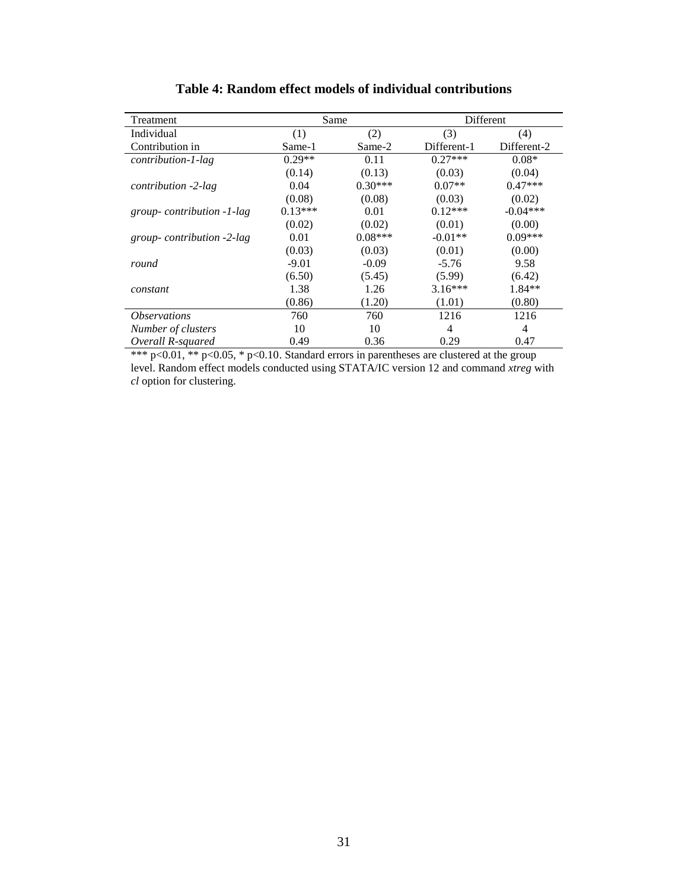| Treatment                  | Same      |           |             | Different   |  |
|----------------------------|-----------|-----------|-------------|-------------|--|
| Individual                 | (1)       | (2)       | (3)         | (4)         |  |
| Contribution in            | Same-1    | Same-2    | Different-1 | Different-2 |  |
| contribution-1-lag         | $0.29**$  | 0.11      | $0.27***$   | $0.08*$     |  |
|                            | (0.14)    | (0.13)    | (0.03)      | (0.04)      |  |
| contribution -2-lag        | 0.04      | $0.30***$ | $0.07**$    | $0.47***$   |  |
|                            | (0.08)    | (0.08)    | (0.03)      | (0.02)      |  |
| group-contribution -1-lag  | $0.13***$ | 0.01      | $0.12***$   | $-0.04***$  |  |
|                            | (0.02)    | (0.02)    | (0.01)      | (0.00)      |  |
| group-contribution -2-lag  | 0.01      | $0.08***$ | $-0.01**$   | $0.09***$   |  |
|                            | (0.03)    | (0.03)    | (0.01)      | (0.00)      |  |
| round                      | $-9.01$   | $-0.09$   | $-5.76$     | 9.58        |  |
|                            | (6.50)    | (5.45)    | (5.99)      | (6.42)      |  |
| constant                   | 1.38      | 1.26      | $3.16***$   | $1.84**$    |  |
|                            | (0.86)    | (1.20)    | (1.01)      | (0.80)      |  |
| <i><b>Observations</b></i> | 760       | 760       | 1216        | 1216        |  |
| Number of clusters         | 10        | 10        | 4           | 4           |  |
| Overall R-squared          | 0.49      | 0.36      | 0.29        | 0.47        |  |

**Table 4: Random effect models of individual contributions**

\*\*\*  $p<0.01$ , \*\*  $p<0.05$ , \*  $p<0.10$ . Standard errors in parentheses are clustered at the group level. Random effect models conducted using STATA/IC version 12 and command *xtreg* with *cl* option for clustering.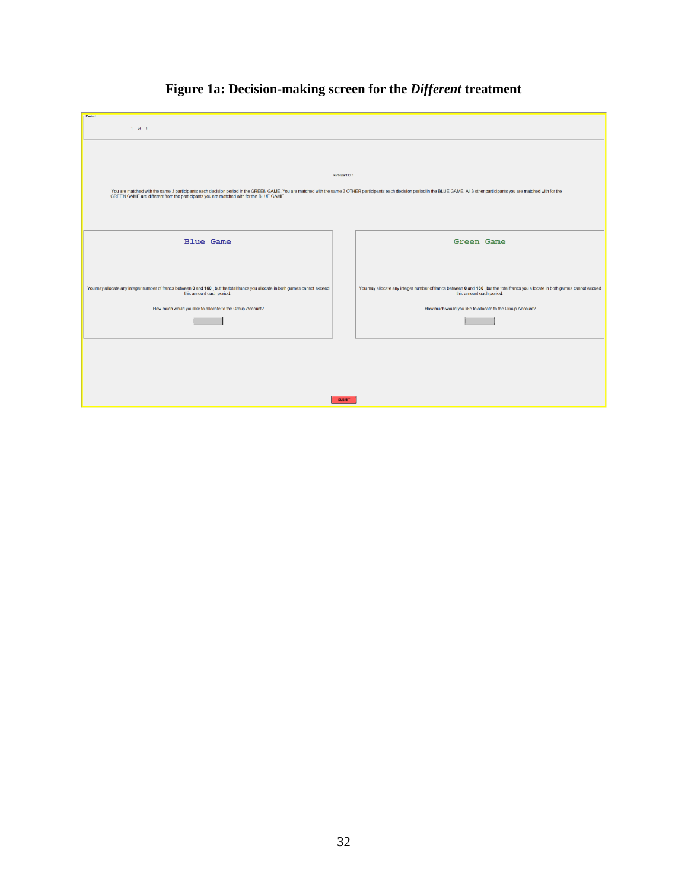| $1$ of $1$<br>Participant ID: 1<br>You are mathed with the same 3 participants each decision period in the GREEN GAME. You are matched with the same 3 OTHER participants each decision period in the BLUE GAME. All 3 other participants you are matched with fo<br><b>Blue Game</b><br><b>Green Game</b><br>You may allocate any integer number of francs between 0 and 160, but the total francs you allocate in both games cannot exceed<br>You may allocate any integer number of francs between 0 and 160, but the total francs you allocate in both games cannot exceed<br>this amount each period.<br>this amount each period.<br>How much would you like to allocate to the Group Account?<br>How much would you like to allocate to the Group Account? |         |  |  |  |  |
|------------------------------------------------------------------------------------------------------------------------------------------------------------------------------------------------------------------------------------------------------------------------------------------------------------------------------------------------------------------------------------------------------------------------------------------------------------------------------------------------------------------------------------------------------------------------------------------------------------------------------------------------------------------------------------------------------------------------------------------------------------------|---------|--|--|--|--|
|                                                                                                                                                                                                                                                                                                                                                                                                                                                                                                                                                                                                                                                                                                                                                                  | Period- |  |  |  |  |
|                                                                                                                                                                                                                                                                                                                                                                                                                                                                                                                                                                                                                                                                                                                                                                  |         |  |  |  |  |
|                                                                                                                                                                                                                                                                                                                                                                                                                                                                                                                                                                                                                                                                                                                                                                  |         |  |  |  |  |
|                                                                                                                                                                                                                                                                                                                                                                                                                                                                                                                                                                                                                                                                                                                                                                  |         |  |  |  |  |
|                                                                                                                                                                                                                                                                                                                                                                                                                                                                                                                                                                                                                                                                                                                                                                  |         |  |  |  |  |
|                                                                                                                                                                                                                                                                                                                                                                                                                                                                                                                                                                                                                                                                                                                                                                  |         |  |  |  |  |
|                                                                                                                                                                                                                                                                                                                                                                                                                                                                                                                                                                                                                                                                                                                                                                  |         |  |  |  |  |
|                                                                                                                                                                                                                                                                                                                                                                                                                                                                                                                                                                                                                                                                                                                                                                  |         |  |  |  |  |
|                                                                                                                                                                                                                                                                                                                                                                                                                                                                                                                                                                                                                                                                                                                                                                  |         |  |  |  |  |
|                                                                                                                                                                                                                                                                                                                                                                                                                                                                                                                                                                                                                                                                                                                                                                  |         |  |  |  |  |
|                                                                                                                                                                                                                                                                                                                                                                                                                                                                                                                                                                                                                                                                                                                                                                  |         |  |  |  |  |
|                                                                                                                                                                                                                                                                                                                                                                                                                                                                                                                                                                                                                                                                                                                                                                  |         |  |  |  |  |
|                                                                                                                                                                                                                                                                                                                                                                                                                                                                                                                                                                                                                                                                                                                                                                  |         |  |  |  |  |
|                                                                                                                                                                                                                                                                                                                                                                                                                                                                                                                                                                                                                                                                                                                                                                  |         |  |  |  |  |
|                                                                                                                                                                                                                                                                                                                                                                                                                                                                                                                                                                                                                                                                                                                                                                  |         |  |  |  |  |
|                                                                                                                                                                                                                                                                                                                                                                                                                                                                                                                                                                                                                                                                                                                                                                  |         |  |  |  |  |
|                                                                                                                                                                                                                                                                                                                                                                                                                                                                                                                                                                                                                                                                                                                                                                  |         |  |  |  |  |
|                                                                                                                                                                                                                                                                                                                                                                                                                                                                                                                                                                                                                                                                                                                                                                  |         |  |  |  |  |
|                                                                                                                                                                                                                                                                                                                                                                                                                                                                                                                                                                                                                                                                                                                                                                  |         |  |  |  |  |
|                                                                                                                                                                                                                                                                                                                                                                                                                                                                                                                                                                                                                                                                                                                                                                  |         |  |  |  |  |
|                                                                                                                                                                                                                                                                                                                                                                                                                                                                                                                                                                                                                                                                                                                                                                  |         |  |  |  |  |
|                                                                                                                                                                                                                                                                                                                                                                                                                                                                                                                                                                                                                                                                                                                                                                  |         |  |  |  |  |
|                                                                                                                                                                                                                                                                                                                                                                                                                                                                                                                                                                                                                                                                                                                                                                  |         |  |  |  |  |
|                                                                                                                                                                                                                                                                                                                                                                                                                                                                                                                                                                                                                                                                                                                                                                  |         |  |  |  |  |
|                                                                                                                                                                                                                                                                                                                                                                                                                                                                                                                                                                                                                                                                                                                                                                  |         |  |  |  |  |
|                                                                                                                                                                                                                                                                                                                                                                                                                                                                                                                                                                                                                                                                                                                                                                  |         |  |  |  |  |
|                                                                                                                                                                                                                                                                                                                                                                                                                                                                                                                                                                                                                                                                                                                                                                  |         |  |  |  |  |
|                                                                                                                                                                                                                                                                                                                                                                                                                                                                                                                                                                                                                                                                                                                                                                  |         |  |  |  |  |
|                                                                                                                                                                                                                                                                                                                                                                                                                                                                                                                                                                                                                                                                                                                                                                  |         |  |  |  |  |
|                                                                                                                                                                                                                                                                                                                                                                                                                                                                                                                                                                                                                                                                                                                                                                  |         |  |  |  |  |
|                                                                                                                                                                                                                                                                                                                                                                                                                                                                                                                                                                                                                                                                                                                                                                  |         |  |  |  |  |
|                                                                                                                                                                                                                                                                                                                                                                                                                                                                                                                                                                                                                                                                                                                                                                  |         |  |  |  |  |
|                                                                                                                                                                                                                                                                                                                                                                                                                                                                                                                                                                                                                                                                                                                                                                  |         |  |  |  |  |
| <b>SUBMIT</b>                                                                                                                                                                                                                                                                                                                                                                                                                                                                                                                                                                                                                                                                                                                                                    |         |  |  |  |  |

# **Figure 1a: Decision-making screen for the** *Different* **treatment**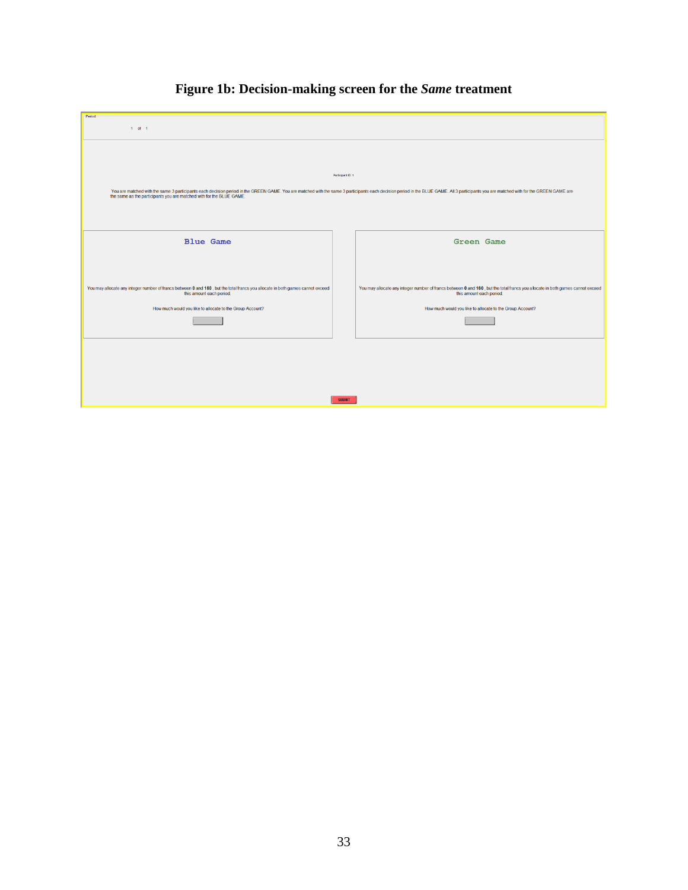| -Period-                                                                                                                                                                                                                       |                   |                                                                                                                                |
|--------------------------------------------------------------------------------------------------------------------------------------------------------------------------------------------------------------------------------|-------------------|--------------------------------------------------------------------------------------------------------------------------------|
| $1$ of $1$                                                                                                                                                                                                                     |                   |                                                                                                                                |
|                                                                                                                                                                                                                                |                   |                                                                                                                                |
|                                                                                                                                                                                                                                |                   |                                                                                                                                |
|                                                                                                                                                                                                                                |                   |                                                                                                                                |
|                                                                                                                                                                                                                                |                   |                                                                                                                                |
|                                                                                                                                                                                                                                |                   |                                                                                                                                |
|                                                                                                                                                                                                                                |                   |                                                                                                                                |
|                                                                                                                                                                                                                                | Participant ID: 1 |                                                                                                                                |
|                                                                                                                                                                                                                                |                   |                                                                                                                                |
| You are matched with the same 3 participants each decision period in the GREEN GAME. You are matched with the same 3 participants each decision period in the BLUE GAME. All 3 participants you are matched with for the GREEN |                   |                                                                                                                                |
| the same as the participants you are matched with for the BLUE GAME.                                                                                                                                                           |                   |                                                                                                                                |
|                                                                                                                                                                                                                                |                   |                                                                                                                                |
|                                                                                                                                                                                                                                |                   |                                                                                                                                |
|                                                                                                                                                                                                                                |                   |                                                                                                                                |
|                                                                                                                                                                                                                                |                   |                                                                                                                                |
|                                                                                                                                                                                                                                |                   |                                                                                                                                |
| <b>Blue Game</b>                                                                                                                                                                                                               |                   | <b>Green Game</b>                                                                                                              |
|                                                                                                                                                                                                                                |                   |                                                                                                                                |
|                                                                                                                                                                                                                                |                   |                                                                                                                                |
|                                                                                                                                                                                                                                |                   |                                                                                                                                |
|                                                                                                                                                                                                                                |                   |                                                                                                                                |
|                                                                                                                                                                                                                                |                   |                                                                                                                                |
| You may allocate any integer number of francs between 0 and 160, but the total francs you allocate in both games cannot exceed                                                                                                 |                   | You may allocate any integer number of francs between 0 and 160, but the total francs you allocate in both games cannot exceed |
| this amount each period.                                                                                                                                                                                                       |                   | this amount each period.                                                                                                       |
|                                                                                                                                                                                                                                |                   |                                                                                                                                |
| How much would you like to allocate to the Group Account?                                                                                                                                                                      |                   | How much would you like to allocate to the Group Account?                                                                      |
|                                                                                                                                                                                                                                |                   |                                                                                                                                |
|                                                                                                                                                                                                                                |                   |                                                                                                                                |
|                                                                                                                                                                                                                                |                   |                                                                                                                                |
|                                                                                                                                                                                                                                |                   |                                                                                                                                |
|                                                                                                                                                                                                                                |                   |                                                                                                                                |
|                                                                                                                                                                                                                                |                   |                                                                                                                                |
|                                                                                                                                                                                                                                |                   |                                                                                                                                |
|                                                                                                                                                                                                                                |                   |                                                                                                                                |
|                                                                                                                                                                                                                                |                   |                                                                                                                                |
|                                                                                                                                                                                                                                |                   |                                                                                                                                |
|                                                                                                                                                                                                                                |                   |                                                                                                                                |
|                                                                                                                                                                                                                                | <b>SUBMIT</b>     |                                                                                                                                |
|                                                                                                                                                                                                                                |                   |                                                                                                                                |

# **Figure 1b: Decision-making screen for the** *Same* **treatment**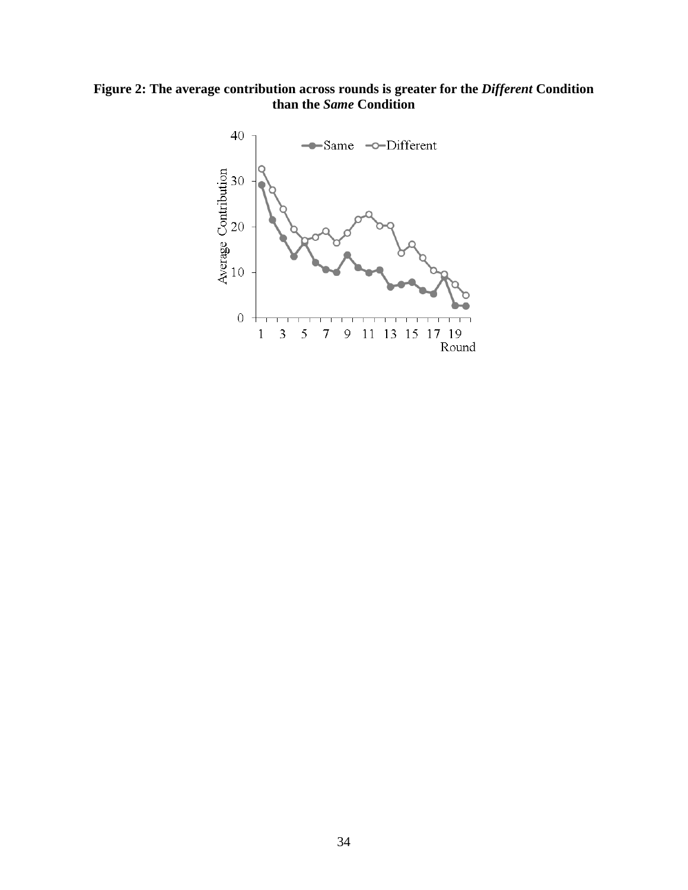**Figure 2: The average contribution across rounds is greater for the** *Different* **Condition than the** *Same* **Condition**

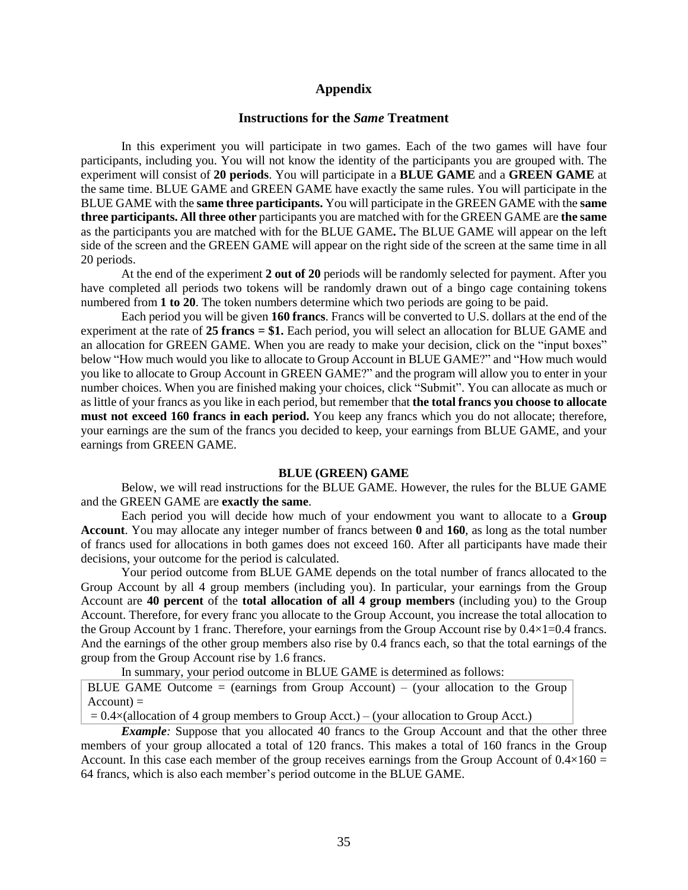#### **Appendix**

#### **Instructions for the** *Same* **Treatment**

In this experiment you will participate in two games. Each of the two games will have four participants, including you. You will not know the identity of the participants you are grouped with. The experiment will consist of **20 periods**. You will participate in a **BLUE GAME** and a **GREEN GAME** at the same time. BLUE GAME and GREEN GAME have exactly the same rules. You will participate in the BLUE GAME with the **same three participants.** You will participate in the GREEN GAME with the **same three participants. All three other** participants you are matched with for the GREEN GAME are **the same** as the participants you are matched with for the BLUE GAME**.** The BLUE GAME will appear on the left side of the screen and the GREEN GAME will appear on the right side of the screen at the same time in all 20 periods.

At the end of the experiment **2 out of 20** periods will be randomly selected for payment. After you have completed all periods two tokens will be randomly drawn out of a bingo cage containing tokens numbered from **1 to 20**. The token numbers determine which two periods are going to be paid.

Each period you will be given **160 francs**. Francs will be converted to U.S. dollars at the end of the experiment at the rate of **25 francs = \$1.** Each period, you will select an allocation for BLUE GAME and an allocation for GREEN GAME. When you are ready to make your decision, click on the "input boxes" below "How much would you like to allocate to Group Account in BLUE GAME?" and "How much would you like to allocate to Group Account in GREEN GAME?" and the program will allow you to enter in your number choices. When you are finished making your choices, click "Submit". You can allocate as much or as little of your francs as you like in each period, but remember that **the total francs you choose to allocate must not exceed 160 francs in each period.** You keep any francs which you do not allocate; therefore, your earnings are the sum of the francs you decided to keep, your earnings from BLUE GAME, and your earnings from GREEN GAME.

#### **BLUE (GREEN) GAME**

Below, we will read instructions for the BLUE GAME. However, the rules for the BLUE GAME and the GREEN GAME are **exactly the same**.

Each period you will decide how much of your endowment you want to allocate to a **Group Account**. You may allocate any integer number of francs between **0** and **160**, as long as the total number of francs used for allocations in both games does not exceed 160. After all participants have made their decisions, your outcome for the period is calculated.

Your period outcome from BLUE GAME depends on the total number of francs allocated to the Group Account by all 4 group members (including you). In particular, your earnings from the Group Account are **40 percent** of the **total allocation of all 4 group members** (including you) to the Group Account. Therefore, for every franc you allocate to the Group Account, you increase the total allocation to the Group Account by 1 franc. Therefore, your earnings from the Group Account rise by 0.4×1=0.4 francs. And the earnings of the other group members also rise by 0.4 francs each, so that the total earnings of the group from the Group Account rise by 1.6 francs.

In summary, your period outcome in BLUE GAME is determined as follows:

BLUE GAME Outcome  $=$  (earnings from Group Account)  $-$  (your allocation to the Group  $Account) =$ 

 $= 0.4\times$ (allocation of 4 group members to Group Acct.) – (your allocation to Group Acct.)

*Example*: Suppose that you allocated 40 francs to the Group Account and that the other three members of your group allocated a total of 120 francs. This makes a total of 160 francs in the Group Account. In this case each member of the group receives earnings from the Group Account of  $0.4 \times 160 =$ 64 francs, which is also each member's period outcome in the BLUE GAME.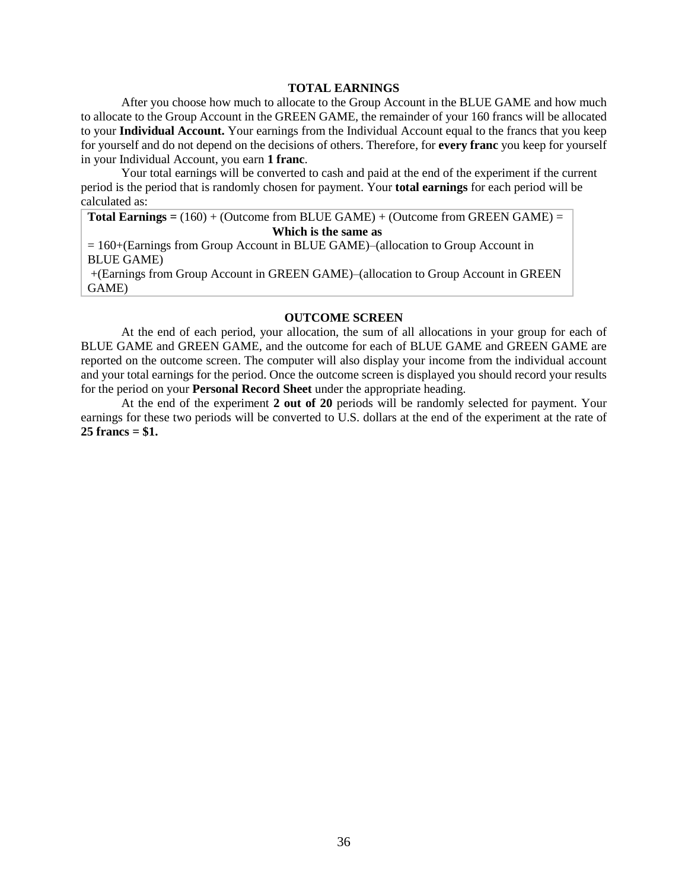#### **TOTAL EARNINGS**

After you choose how much to allocate to the Group Account in the BLUE GAME and how much to allocate to the Group Account in the GREEN GAME, the remainder of your 160 francs will be allocated to your **Individual Account.** Your earnings from the Individual Account equal to the francs that you keep for yourself and do not depend on the decisions of others. Therefore, for **every franc** you keep for yourself in your Individual Account, you earn **1 franc**.

Your total earnings will be converted to cash and paid at the end of the experiment if the current period is the period that is randomly chosen for payment. Your **total earnings** for each period will be calculated as:

**Total Earnings =** (160) + (Outcome from BLUE GAME) + (Outcome from GREEN GAME) =

#### **Which is the same as**

= 160+(Earnings from Group Account in BLUE GAME)–(allocation to Group Account in BLUE GAME)

+(Earnings from Group Account in GREEN GAME)–(allocation to Group Account in GREEN GAME)

#### **OUTCOME SCREEN**

At the end of each period, your allocation, the sum of all allocations in your group for each of BLUE GAME and GREEN GAME, and the outcome for each of BLUE GAME and GREEN GAME are reported on the outcome screen. The computer will also display your income from the individual account and your total earnings for the period. Once the outcome screen is displayed you should record your results for the period on your **Personal Record Sheet** under the appropriate heading.

At the end of the experiment **2 out of 20** periods will be randomly selected for payment. Your earnings for these two periods will be converted to U.S. dollars at the end of the experiment at the rate of **25 francs = \$1.**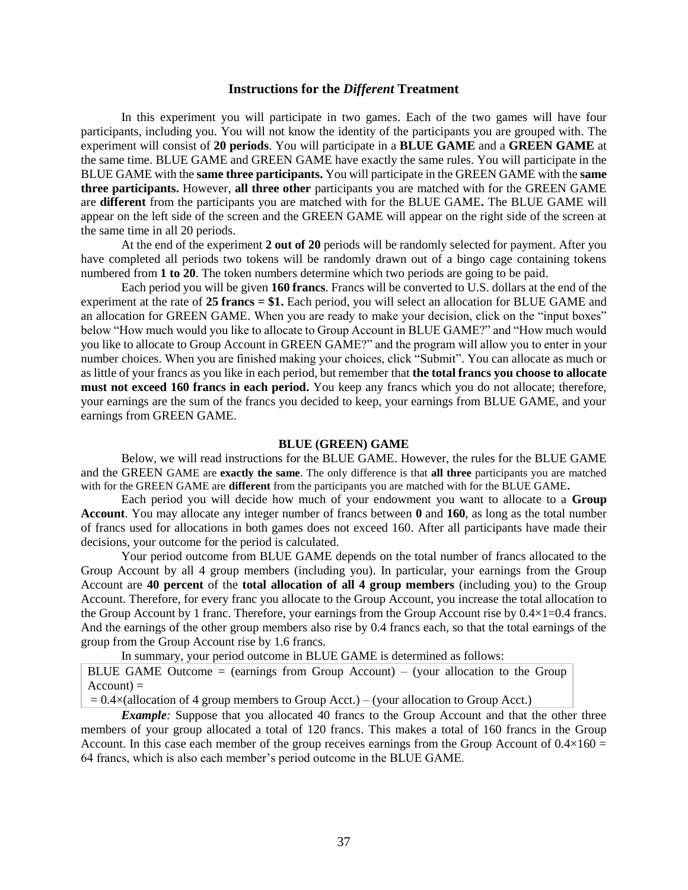#### **Instructions for the** *Different* **Treatment**

In this experiment you will participate in two games. Each of the two games will have four participants, including you. You will not know the identity of the participants you are grouped with. The experiment will consist of **20 periods**. You will participate in a **BLUE GAME** and a **GREEN GAME** at the same time. BLUE GAME and GREEN GAME have exactly the same rules. You will participate in the BLUE GAME with the **same three participants.** You will participate in the GREEN GAME with the **same three participants.** However, **all three other** participants you are matched with for the GREEN GAME are **different** from the participants you are matched with for the BLUE GAME**.** The BLUE GAME will appear on the left side of the screen and the GREEN GAME will appear on the right side of the screen at the same time in all 20 periods.

At the end of the experiment **2 out of 20** periods will be randomly selected for payment. After you have completed all periods two tokens will be randomly drawn out of a bingo cage containing tokens numbered from **1 to 20**. The token numbers determine which two periods are going to be paid.

Each period you will be given **160 francs**. Francs will be converted to U.S. dollars at the end of the experiment at the rate of **25 francs = \$1.** Each period, you will select an allocation for BLUE GAME and an allocation for GREEN GAME. When you are ready to make your decision, click on the "input boxes" below "How much would you like to allocate to Group Account in BLUE GAME?" and "How much would you like to allocate to Group Account in GREEN GAME?" and the program will allow you to enter in your number choices. When you are finished making your choices, click "Submit". You can allocate as much or as little of your francs as you like in each period, but remember that **the total francs you choose to allocate must not exceed 160 francs in each period.** You keep any francs which you do not allocate; therefore, your earnings are the sum of the francs you decided to keep, your earnings from BLUE GAME, and your earnings from GREEN GAME.

#### **BLUE (GREEN) GAME**

Below, we will read instructions for the BLUE GAME. However, the rules for the BLUE GAME and the GREEN GAME are **exactly the same**. The only difference is that **all three** participants you are matched with for the GREEN GAME are **different** from the participants you are matched with for the BLUE GAME**.** 

Each period you will decide how much of your endowment you want to allocate to a **Group Account**. You may allocate any integer number of francs between **0** and **160**, as long as the total number of francs used for allocations in both games does not exceed 160. After all participants have made their decisions, your outcome for the period is calculated.

Your period outcome from BLUE GAME depends on the total number of francs allocated to the Group Account by all 4 group members (including you). In particular, your earnings from the Group Account are **40 percent** of the **total allocation of all 4 group members** (including you) to the Group Account. Therefore, for every franc you allocate to the Group Account, you increase the total allocation to the Group Account by 1 franc. Therefore, your earnings from the Group Account rise by 0.4×1=0.4 francs. And the earnings of the other group members also rise by 0.4 francs each, so that the total earnings of the group from the Group Account rise by 1.6 francs.

In summary, your period outcome in BLUE GAME is determined as follows:

BLUE GAME Outcome  $=$  (earnings from Group Account)  $-$  (your allocation to the Group  $Account) =$ 

 $= 0.4\times$ (allocation of 4 group members to Group Acct.) – (your allocation to Group Acct.)

*Example*: Suppose that you allocated 40 francs to the Group Account and that the other three members of your group allocated a total of 120 francs. This makes a total of 160 francs in the Group Account. In this case each member of the group receives earnings from the Group Account of  $0.4\times160 =$ 64 francs, which is also each member's period outcome in the BLUE GAME.